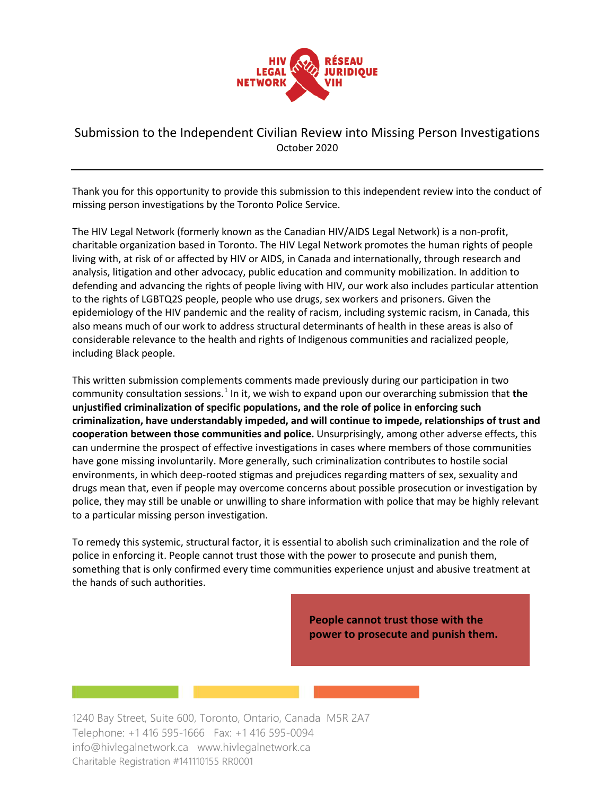

# Submission to the Independent Civilian Review into Missing Person Investigations October 2020

Thank you for this opportunity to provide this submission to this independent review into the conduct of missing person investigations by the Toronto Police Service.

The HIV Legal Network (formerly known as the Canadian HIV/AIDS Legal Network) is a non-profit, charitable organization based in Toronto. The HIV Legal Network promotes the human rights of people living with, at risk of or affected by HIV or AIDS, in Canada and internationally, through research and analysis, litigation and other advocacy, public education and community mobilization. In addition to defending and advancing the rights of people living with HIV, our work also includes particular attention to the rights of LGBTQ2S people, people who use drugs, sex workers and prisoners. Given the epidemiology of the HIV pandemic and the reality of racism, including systemic racism, in Canada, this also means much of our work to address structural determinants of health in these areas is also of considerable relevance to the health and rights of Indigenous communities and racialized people, including Black people.

This written submission complements comments made previously during our participation in two community consultation sessions.<sup>1</sup> In it, we wish to expand upon our overarching submission that the **unjustified criminalization of specific populations, and the role of police in enforcing such criminalization, have understandably impeded, and will continue to impede, relationships of trust and cooperation between those communities and police.** Unsurprisingly, among other adverse effects, this can undermine the prospect of effective investigations in cases where members of those communities have gone missing involuntarily. More generally, such criminalization contributes to hostile social environments, in which deep-rooted stigmas and prejudices regarding matters of sex, sexuality and drugs mean that, even if people may overcome concerns about possible prosecution or investigation by police, they may still be unable or unwilling to share information with police that may be highly relevant to a particular missing person investigation.

To remedy this systemic, structural factor, it is essential to abolish such criminalization and the role of police in enforcing it. People cannot trust those with the power to prosecute and punish them, something that is only confirmed every time communities experience unjust and abusive treatment at the hands of such authorities.

> **People cannot trust those with the power to prosecute and punish them.**

1240 Bay Street, Suite 600, Toronto, Ontario, Canada M5R 2A7 Telephone: +1 416 595-1666 Fax: +1 416 595-0094 info@hivlegalnetwork.ca www.hivlegalnetwork.ca Charitable Registration #141110155 RR0001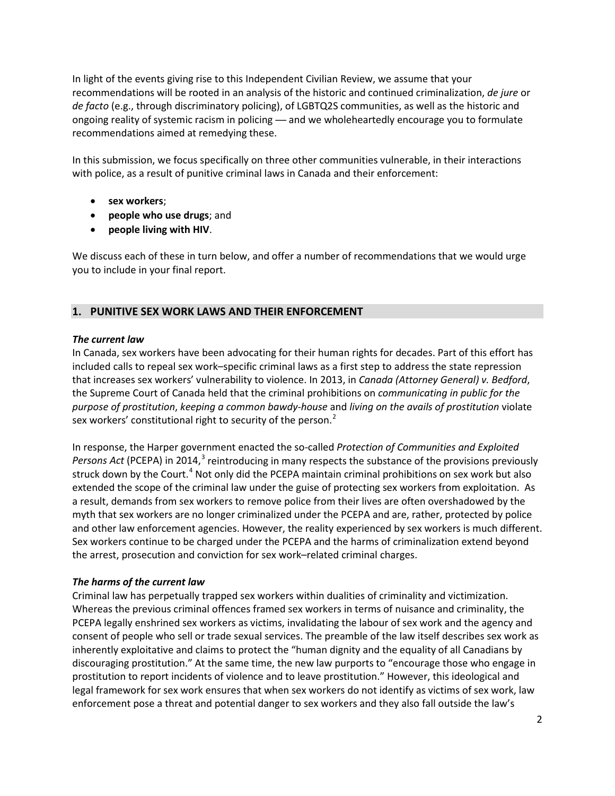In light of the events giving rise to this Independent Civilian Review, we assume that your recommendations will be rooted in an analysis of the historic and continued criminalization, *de jure* or *de facto* (e.g., through discriminatory policing), of LGBTQ2S communities, as well as the historic and ongoing reality of systemic racism in policing — and we wholeheartedly encourage you to formulate recommendations aimed at remedying these.

In this submission, we focus specifically on three other communities vulnerable, in their interactions with police, as a result of punitive criminal laws in Canada and their enforcement:

- **sex workers**;
- **people who use drugs**; and
- **people living with HIV**.

We discuss each of these in turn below, and offer a number of recommendations that we would urge you to include in your final report.

# **1. PUNITIVE SEX WORK LAWS AND THEIR ENFORCEMENT**

## *The current law*

In Canada, sex workers have been advocating for their human rights for decades. Part of this effort has included calls to repeal sex work–specific criminal laws as a first step to address the state repression that increases sex workers' vulnerability to violence. In 2013, in *Canada (Attorney General) v. Bedford*, the Supreme Court of Canada held that the criminal prohibitions on *communicating in public for the purpose of prostitution*, *keeping a common bawdy-house* and *living on the avails of prostitution* violate sex workers' constitutional right to security of the person.<sup>[2](#page-17-0)</sup>

In response, the Harper government enacted the so-called *Protection of Communities and Exploited*  Persons Act (PCEPA) in 2014,<sup>[3](#page-17-1)</sup> reintroducing in many respects the substance of the provisions previously struck down by the Court.<sup>[4](#page-17-2)</sup> Not only did the PCEPA maintain criminal prohibitions on sex work but also extended the scope of the criminal law under the guise of protecting sex workers from exploitation. As a result, demands from sex workers to remove police from their lives are often overshadowed by the myth that sex workers are no longer criminalized under the PCEPA and are, rather, protected by police and other law enforcement agencies. However, the reality experienced by sex workers is much different. Sex workers continue to be charged under the PCEPA and the harms of criminalization extend beyond the arrest, prosecution and conviction for sex work–related criminal charges.

## *The harms of the current law*

Criminal law has perpetually trapped sex workers within dualities of criminality and victimization. Whereas the previous criminal offences framed sex workers in terms of nuisance and criminality, the PCEPA legally enshrined sex workers as victims, invalidating the labour of sex work and the agency and consent of people who sell or trade sexual services. The preamble of the law itself describes sex work as inherently exploitative and claims to protect the "human dignity and the equality of all Canadians by discouraging prostitution." At the same time, the new law purports to "encourage those who engage in prostitution to report incidents of violence and to leave prostitution." However, this ideological and legal framework for sex work ensures that when sex workers do not identify as victims of sex work, law enforcement pose a threat and potential danger to sex workers and they also fall outside the law's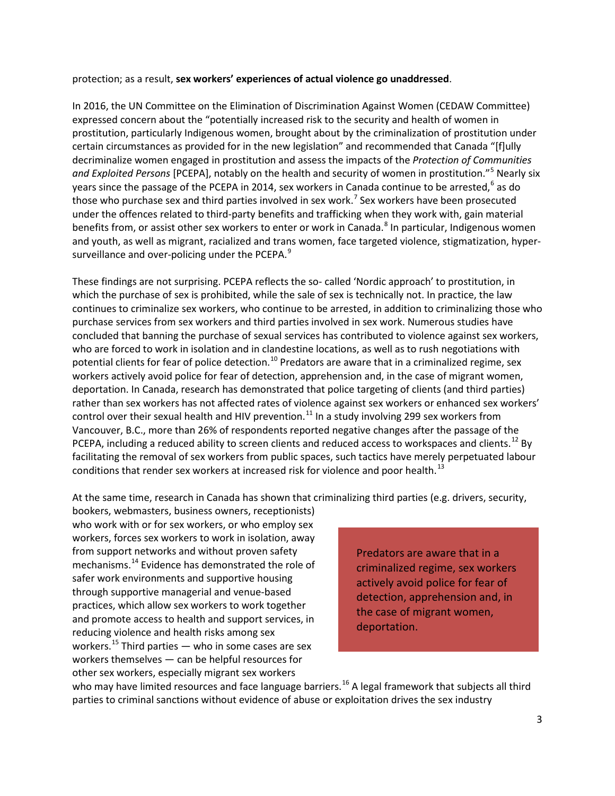protection; as a result, **sex workers' experiences of actual violence go unaddressed**.

In 2016, the UN Committee on the Elimination of Discrimination Against Women (CEDAW Committee) expressed concern about the "potentially increased risk to the security and health of women in prostitution, particularly Indigenous women, brought about by the criminalization of prostitution under certain circumstances as provided for in the new legislation" and recommended that Canada "[f]ully decriminalize women engaged in prostitution and assess the impacts of the *Protection of Communities and Exploited Persons* [PCEPA], notably on the health and security of women in prostitution."[5](#page-18-0) Nearly six years since the passage of the PCEPA in 2014, sex workers in Canada continue to be arrested, $6$  as do those who purchase sex and third parties involved in sex work.<sup>[7](#page-18-2)</sup> Sex workers have been prosecuted under the offences related to third-party benefits and trafficking when they work with, gain material benefits from, or assist other sex workers to enter or work in Canada.<sup>[8](#page-18-3)</sup> In particular, Indigenous women and youth, as well as migrant, racialized and trans women, face targeted violence, stigmatization, hyper-surveillance and over-policing under the PCEPA.<sup>[9](#page-18-4)</sup>

These findings are not surprising. PCEPA reflects the so- called 'Nordic approach' to prostitution, in which the purchase of sex is prohibited, while the sale of sex is technically not. In practice, the law continues to criminalize sex workers, who continue to be arrested, in addition to criminalizing those who purchase services from sex workers and third parties involved in sex work. Numerous studies have concluded that banning the purchase of sexual services has contributed to violence against sex workers, who are forced to work in isolation and in clandestine locations, as well as to rush negotiations with potential clients for fear of police detection.<sup>[10](#page-18-5)</sup> Predators are aware that in a criminalized regime, sex workers actively avoid police for fear of detection, apprehension and, in the case of migrant women, deportation. In Canada, research has demonstrated that police targeting of clients (and third parties) rather than sex workers has not affected rates of violence against sex workers or enhanced sex workers' control over their sexual health and HIV prevention.<sup>[11](#page-18-6)</sup> In a study involving 299 sex workers from Vancouver, B.C., more than 26% of respondents reported negative changes after the passage of the PCEPA, including a reduced ability to screen clients and reduced access to workspaces and clients.<sup>[12](#page-18-7)</sup> By facilitating the removal of sex workers from public spaces, such tactics have merely perpetuated labour conditions that render sex workers at increased risk for violence and poor health.<sup>[13](#page-18-8)</sup>

At the same time, research in Canada has shown that criminalizing third parties (e.g. drivers, security,

bookers, webmasters, business owners, receptionists) who work with or for sex workers, or who employ sex workers, forces sex workers to work in isolation, away from support networks and without proven safety mechanisms.<sup>[14](#page-18-9)</sup> Evidence has demonstrated the role of safer work environments and supportive housing through supportive managerial and venue-based practices, which allow sex workers to work together and promote access to health and support services, in reducing violence and health risks among sex workers.<sup>[15](#page-18-10)</sup> Third parties — who in some cases are sex workers themselves — can be helpful resources for other sex workers, especially migrant sex workers

Predators are aware that in a criminalized regime, sex workers actively avoid police for fear of detection, apprehension and, in the case of migrant women, deportation.

who may have limited resources and face language barriers.<sup>[16](#page-18-11)</sup> A legal framework that subjects all third parties to criminal sanctions without evidence of abuse or exploitation drives the sex industry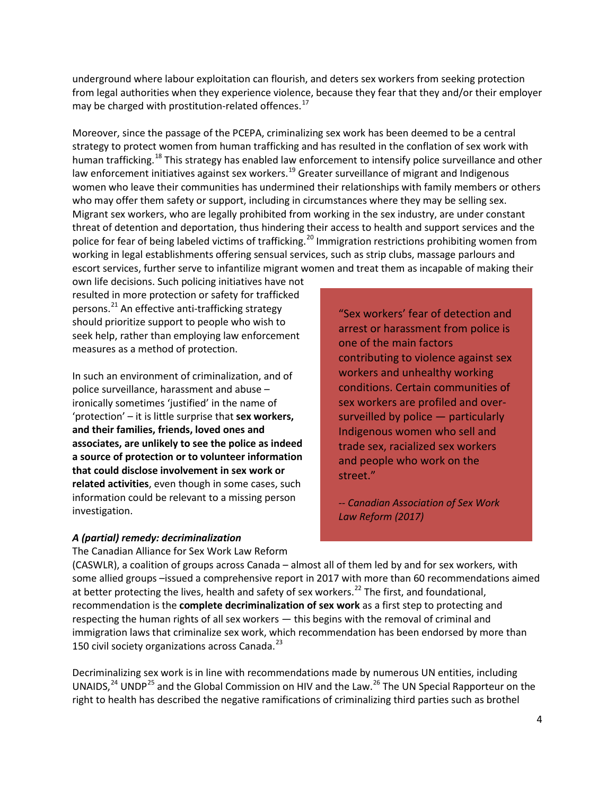underground where labour exploitation can flourish, and deters sex workers from seeking protection from legal authorities when they experience violence, because they fear that they and/or their employer may be charged with prostitution-related offences.<sup>[17](#page-19-0)</sup>

Moreover, since the passage of the PCEPA, criminalizing sex work has been deemed to be a central strategy to protect women from human trafficking and has resulted in the conflation of sex work with human trafficking.<sup>[18](#page-19-1)</sup> This strategy has enabled law enforcement to intensify police surveillance and other law enforcement initiatives against sex workers.<sup>[19](#page-19-2)</sup> Greater surveillance of migrant and Indigenous women who leave their communities has undermined their relationships with family members or others who may offer them safety or support, including in circumstances where they may be selling sex. Migrant sex workers, who are legally prohibited from working in the sex industry, are under constant threat of detention and deportation, thus hindering their access to health and support services and the police for fear of being labeled victims of trafficking.<sup>[20](#page-19-3)</sup> Immigration restrictions prohibiting women from working in legal establishments offering sensual services, such as strip clubs, massage parlours and escort services, further serve to infantilize migrant women and treat them as incapable of making their

own life decisions. Such policing initiatives have not resulted in more protection or safety for trafficked persons.<sup>[21](#page-19-4)</sup> An effective anti-trafficking strategy should prioritize support to people who wish to seek help, rather than employing law enforcement measures as a method of protection.

In such an environment of criminalization, and of police surveillance, harassment and abuse – ironically sometimes 'justified' in the name of 'protection' – it is little surprise that **sex workers, and their families, friends, loved ones and associates, are unlikely to see the police as indeed a source of protection or to volunteer information that could disclose involvement in sex work or related activities**, even though in some cases, such information could be relevant to a missing person investigation.

*A (partial) remedy: decriminalization*

The Canadian Alliance for Sex Work Law Reform

"Sex workers' fear of detection and arrest or harassment from police is one of the main factors contributing to violence against sex workers and unhealthy working conditions. Certain communities of sex workers are profiled and oversurveilled by police — particularly Indigenous women who sell and trade sex, racialized sex workers and people who work on the street."

*-- Canadian Association of Sex Work Law Reform (2017)*

(CASWLR), a coalition of groups across Canada – almost all of them led by and for sex workers, with some allied groups –issued a comprehensive report in 2017 with more than 60 recommendations aimed at better protecting the lives, health and safety of sex workers.<sup>[22](#page-19-5)</sup> The first, and foundational, recommendation is the **complete decriminalization of sex work** as a first step to protecting and respecting the human rights of all sex workers — this begins with the removal of criminal and immigration laws that criminalize sex work, which recommendation has been endorsed by more than 150 civil society organizations across Canada.<sup>[23](#page-19-6)</sup>

Decriminalizing sex work is in line with recommendations made by numerous UN entities, including UNAIDS,  $24$  UNDP<sup>[25](#page-19-8)</sup> and the Global Commission on HIV and the Law.  $26$  The UN Special Rapporteur on the right to health has described the negative ramifications of criminalizing third parties such as brothel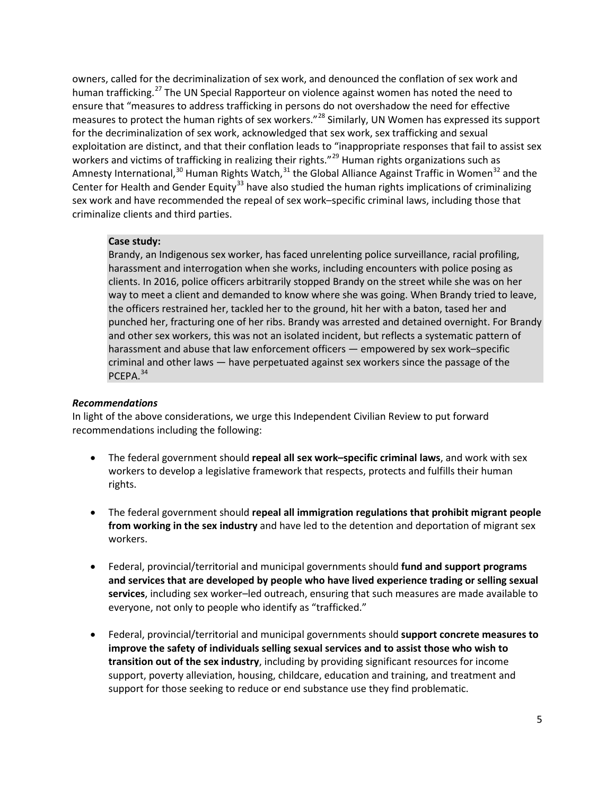owners, called for the decriminalization of sex work, and denounced the conflation of sex work and human trafficking.<sup>[27](#page-20-0)</sup> The UN Special Rapporteur on violence against women has noted the need to ensure that "measures to address trafficking in persons do not overshadow the need for effective measures to protect the human rights of sex workers."[28](#page-20-1) Similarly, UN Women has expressed its support for the decriminalization of sex work, acknowledged that sex work, sex trafficking and sexual exploitation are distinct, and that their conflation leads to "inappropriate responses that fail to assist sex workers and victims of trafficking in realizing their rights."<sup>[29](#page-20-2)</sup> Human rights organizations such as Amnesty International,<sup>[30](#page-20-3)</sup> Human Rights Watch,<sup>[31](#page-20-4)</sup> the Global Alliance Against Traffic in Women<sup>[32](#page-20-5)</sup> and the Center for Health and Gender Equity<sup>[33](#page-20-6)</sup> have also studied the human rights implications of criminalizing sex work and have recommended the repeal of sex work–specific criminal laws, including those that criminalize clients and third parties.

#### **Case study:**

Brandy, an Indigenous sex worker, has faced unrelenting police surveillance, racial profiling, harassment and interrogation when she works, including encounters with police posing as clients. In 2016, police officers arbitrarily stopped Brandy on the street while she was on her way to meet a client and demanded to know where she was going. When Brandy tried to leave, the officers restrained her, tackled her to the ground, hit her with a baton, tased her and punched her, fracturing one of her ribs. Brandy was arrested and detained overnight. For Brandy and other sex workers, this was not an isolated incident, but reflects a systematic pattern of harassment and abuse that law enforcement officers — empowered by sex work–specific criminal and other laws — have perpetuated against sex workers since the passage of the PCEPA.<sup>[34](#page-20-7)</sup>

#### *Recommendations*

In light of the above considerations, we urge this Independent Civilian Review to put forward recommendations including the following:

- The federal government should **repeal all sex work–specific criminal laws**, and work with sex workers to develop a legislative framework that respects, protects and fulfills their human rights.
- The federal government should **repeal all immigration regulations that prohibit migrant people from working in the sex industry** and have led to the detention and deportation of migrant sex workers.
- Federal, provincial/territorial and municipal governments should **fund and support programs and services that are developed by people who have lived experience trading or selling sexual services**, including sex worker–led outreach, ensuring that such measures are made available to everyone, not only to people who identify as "trafficked."
- Federal, provincial/territorial and municipal governments should **support concrete measures to improve the safety of individuals selling sexual services and to assist those who wish to transition out of the sex industry**, including by providing significant resources for income support, poverty alleviation, housing, childcare, education and training, and treatment and support for those seeking to reduce or end substance use they find problematic.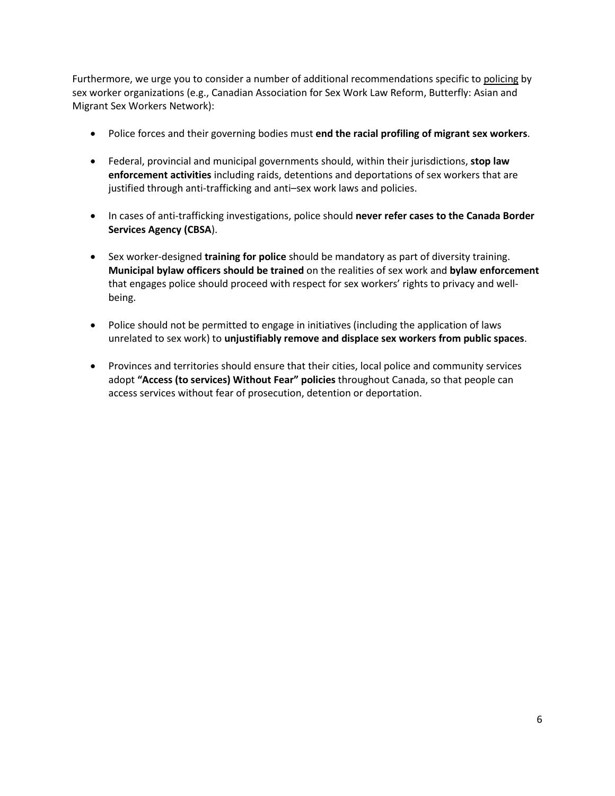Furthermore, we urge you to consider a number of additional recommendations specific to policing by sex worker organizations (e.g., Canadian Association for Sex Work Law Reform, Butterfly: Asian and Migrant Sex Workers Network):

- Police forces and their governing bodies must **end the racial profiling of migrant sex workers**.
- Federal, provincial and municipal governments should, within their jurisdictions, **stop law enforcement activities** including raids, detentions and deportations of sex workers that are justified through anti-trafficking and anti–sex work laws and policies.
- In cases of anti-trafficking investigations, police should **never refer cases to the Canada Border Services Agency (CBSA**).
- Sex worker-designed **training for police** should be mandatory as part of diversity training. **Municipal bylaw officers should be trained** on the realities of sex work and **bylaw enforcement** that engages police should proceed with respect for sex workers' rights to privacy and wellbeing.
- Police should not be permitted to engage in initiatives (including the application of laws unrelated to sex work) to **unjustifiably remove and displace sex workers from public spaces**.
- Provinces and territories should ensure that their cities, local police and community services adopt **"Access (to services) Without Fear" policies** throughout Canada, so that people can access services without fear of prosecution, detention or deportation.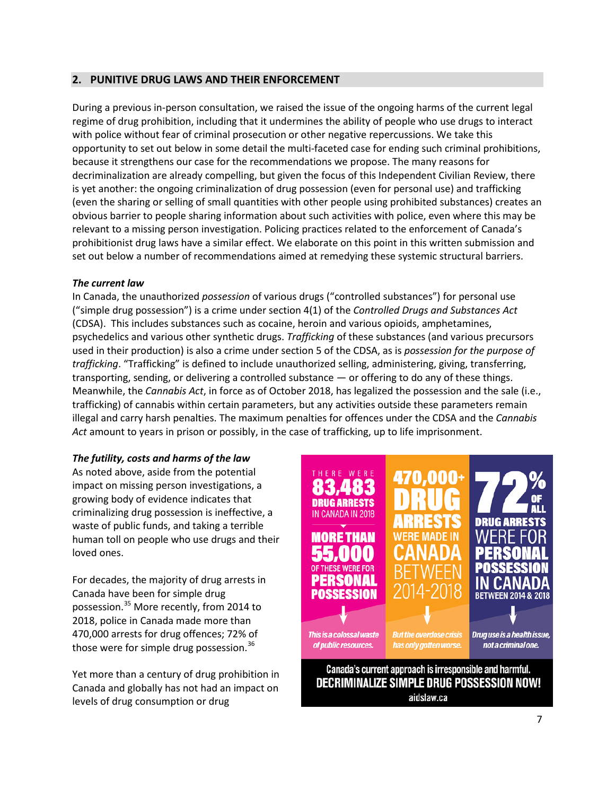# **2. PUNITIVE DRUG LAWS AND THEIR ENFORCEMENT**

During a previous in-person consultation, we raised the issue of the ongoing harms of the current legal regime of drug prohibition, including that it undermines the ability of people who use drugs to interact with police without fear of criminal prosecution or other negative repercussions. We take this opportunity to set out below in some detail the multi-faceted case for ending such criminal prohibitions, because it strengthens our case for the recommendations we propose. The many reasons for decriminalization are already compelling, but given the focus of this Independent Civilian Review, there is yet another: the ongoing criminalization of drug possession (even for personal use) and trafficking (even the sharing or selling of small quantities with other people using prohibited substances) creates an obvious barrier to people sharing information about such activities with police, even where this may be relevant to a missing person investigation. Policing practices related to the enforcement of Canada's prohibitionist drug laws have a similar effect. We elaborate on this point in this written submission and set out below a number of recommendations aimed at remedying these systemic structural barriers.

## *The current law*

In Canada, the unauthorized *possession* of various drugs ("controlled substances") for personal use ("simple drug possession") is a crime under section 4(1) of the *Controlled Drugs and Substances Act*  (CDSA). This includes substances such as cocaine, heroin and various opioids, amphetamines, psychedelics and various other synthetic drugs. *Trafficking* of these substances (and various precursors used in their production) is also a crime under section 5 of the CDSA, as is *possession for the purpose of trafficking*. "Trafficking" is defined to include unauthorized selling, administering, giving, transferring, transporting, sending, or delivering a controlled substance — or offering to do any of these things. Meanwhile, the *Cannabis Act*, in force as of October 2018, has legalized the possession and the sale (i.e., trafficking) of cannabis within certain parameters, but any activities outside these parameters remain illegal and carry harsh penalties. The maximum penalties for offences under the CDSA and the *Cannabis Act* amount to years in prison or possibly, in the case of trafficking, up to life imprisonment.

## *The futility, costs and harms of the law*

As noted above, aside from the potential impact on missing person investigations, a growing body of evidence indicates that criminalizing drug possession is ineffective, a waste of public funds, and taking a terrible human toll on people who use drugs and their loved ones.

For decades, the majority of drug arrests in Canada have been for simple drug possession.[35](#page-20-8) More recently, from 2014 to 2018, police in Canada made more than 470,000 arrests for drug offences; 72% of those were for simple drug possession.<sup>[36](#page-20-9)</sup>

Yet more than a century of drug prohibition in Canada and globally has not had an impact on levels of drug consumption or drug



Decriminalize simple drug possession now! aidslaw.ca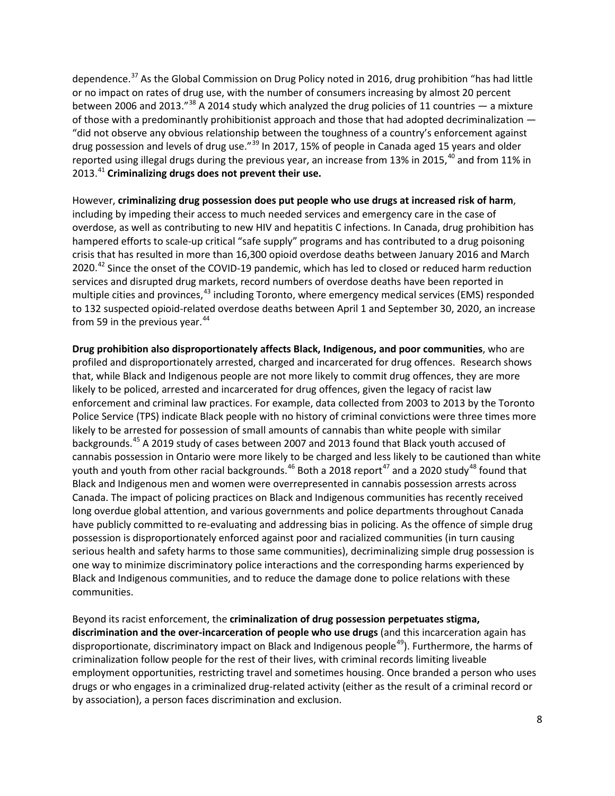dependence.[37](#page-21-0) As the Global Commission on Drug Policy noted in 2016, drug prohibition "has had little or no impact on rates of drug use, with the number of consumers increasing by almost 20 percent between 2006 and 2013."<sup>[38](#page-21-1)</sup> A 2014 study which analyzed the drug policies of 11 countries  $-$  a mixture of those with a predominantly prohibitionist approach and those that had adopted decriminalization — "did not observe any obvious relationship between the toughness of a country's enforcement against drug possession and levels of drug use."<sup>[39](#page-21-2)</sup> In 2017, 15% of people in Canada aged 15 years and older reported using illegal drugs during the previous year, an increase from 13% in 2015,<sup>[40](#page-21-3)</sup> and from 11% in 2013.[41](#page-21-4) **Criminalizing drugs does not prevent their use.**

However, **criminalizing drug possession does put people who use drugs at increased risk of harm**, including by impeding their access to much needed services and emergency care in the case of overdose, as well as contributing to new HIV and hepatitis C infections. In Canada, drug prohibition has hampered efforts to scale-up critical "safe supply" programs and has contributed to a drug poisoning crisis that has resulted in more than 16,300 opioid overdose deaths between January 2016 and March 2020.<sup>[42](#page-21-5)</sup> Since the onset of the COVID-19 pandemic, which has led to closed or reduced harm reduction services and disrupted drug markets, record numbers of overdose deaths have been reported in multiple cities and provinces,<sup>[43](#page-21-6)</sup> including Toronto, where emergency medical services (EMS) responded to 132 suspected opioid-related overdose deaths between April 1 and September 30, 2020, an increase from 59 in the previous year. $44$ 

**Drug prohibition also disproportionately affects Black, Indigenous, and poor communities**, who are profiled and disproportionately arrested, charged and incarcerated for drug offences. Research shows that, while Black and Indigenous people are not more likely to commit drug offences, they are more likely to be policed, arrested and incarcerated for drug offences, given the legacy of racist law enforcement and criminal law practices. For example, data collected from 2003 to 2013 by the Toronto Police Service (TPS) indicate Black people with no history of criminal convictions were three times more likely to be arrested for possession of small amounts of cannabis than white people with similar backgrounds.[45](#page-21-8) A 2019 study of cases between 2007 and 2013 found that Black youth accused of cannabis possession in Ontario were more likely to be charged and less likely to be cautioned than white youth and youth from other racial backgrounds.<sup>[46](#page-21-9)</sup> Both a 2018 report<sup>[47](#page-21-10)</sup> and a 2020 study<sup>[48](#page-21-11)</sup> found that Black and Indigenous men and women were overrepresented in cannabis possession arrests across Canada. The impact of policing practices on Black and Indigenous communities has recently received long overdue global attention, and various governments and police departments throughout Canada have publicly committed to re-evaluating and addressing bias in policing. As the offence of simple drug possession is disproportionately enforced against poor and racialized communities (in turn causing serious health and safety harms to those same communities), decriminalizing simple drug possession is one way to minimize discriminatory police interactions and the corresponding harms experienced by Black and Indigenous communities, and to reduce the damage done to police relations with these communities.

Beyond its racist enforcement, the **criminalization of drug possession perpetuates stigma, discrimination and the over-incarceration of people who use drugs** (and this incarceration again has disproportionate, discriminatory impact on Black and Indigenous people<sup>[49](#page-21-12)</sup>). Furthermore, the harms of criminalization follow people for the rest of their lives, with criminal records limiting liveable employment opportunities, restricting travel and sometimes housing. Once branded a person who uses drugs or who engages in a criminalized drug-related activity (either as the result of a criminal record or by association), a person faces discrimination and exclusion.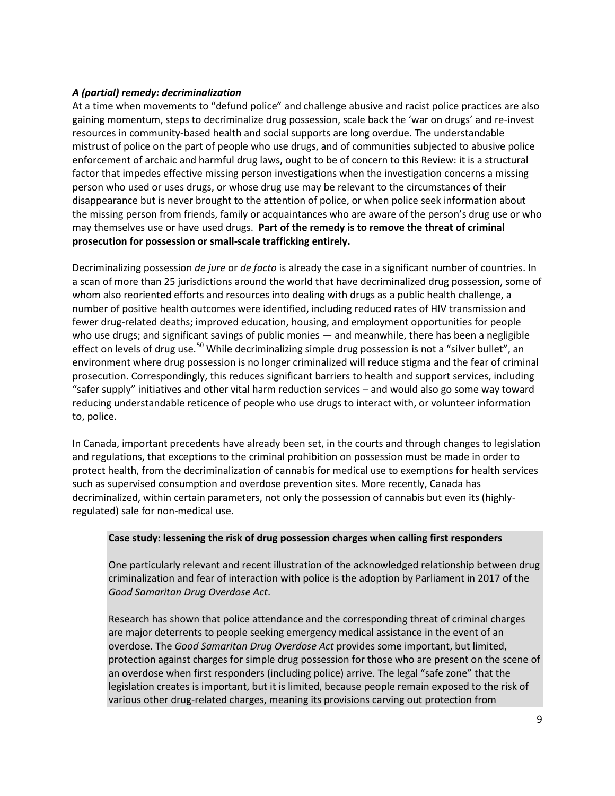# *A (partial) remedy: decriminalization*

At a time when movements to "defund police" and challenge abusive and racist police practices are also gaining momentum, steps to decriminalize drug possession, scale back the 'war on drugs' and re-invest resources in community-based health and social supports are long overdue. The understandable mistrust of police on the part of people who use drugs, and of communities subjected to abusive police enforcement of archaic and harmful drug laws, ought to be of concern to this Review: it is a structural factor that impedes effective missing person investigations when the investigation concerns a missing person who used or uses drugs, or whose drug use may be relevant to the circumstances of their disappearance but is never brought to the attention of police, or when police seek information about the missing person from friends, family or acquaintances who are aware of the person's drug use or who may themselves use or have used drugs. **Part of the remedy is to remove the threat of criminal prosecution for possession or small-scale trafficking entirely.**

Decriminalizing possession *de jure* or *de facto* is already the case in a significant number of countries. In a scan of more than 25 jurisdictions around the world that have decriminalized drug possession, some of whom also reoriented efforts and resources into dealing with drugs as a public health challenge, a number of positive health outcomes were identified, including reduced rates of HIV transmission and fewer drug-related deaths; improved education, housing, and employment opportunities for people who use drugs; and significant savings of public monies — and meanwhile, there has been a negligible effect on levels of drug use.<sup>[50](#page-22-0)</sup> While decriminalizing simple drug possession is not a "silver bullet", an environment where drug possession is no longer criminalized will reduce stigma and the fear of criminal prosecution. Correspondingly, this reduces significant barriers to health and support services, including "safer supply" initiatives and other vital harm reduction services – and would also go some way toward reducing understandable reticence of people who use drugs to interact with, or volunteer information to, police.

In Canada, important precedents have already been set, in the courts and through changes to legislation and regulations, that exceptions to the criminal prohibition on possession must be made in order to protect health, from the decriminalization of cannabis for medical use to exemptions for health services such as supervised consumption and overdose prevention sites. More recently, Canada has decriminalized, within certain parameters, not only the possession of cannabis but even its (highlyregulated) sale for non-medical use.

## **Case study: lessening the risk of drug possession charges when calling first responders**

One particularly relevant and recent illustration of the acknowledged relationship between drug criminalization and fear of interaction with police is the adoption by Parliament in 2017 of the *Good Samaritan Drug Overdose Act*.

Research has shown that police attendance and the corresponding threat of criminal charges are major deterrents to people seeking emergency medical assistance in the event of an overdose. The *Good Samaritan Drug Overdose Act* provides some important, but limited, protection against charges for simple drug possession for those who are present on the scene of an overdose when first responders (including police) arrive. The legal "safe zone" that the legislation creates is important, but it is limited, because people remain exposed to the risk of various other drug-related charges, meaning its provisions carving out protection from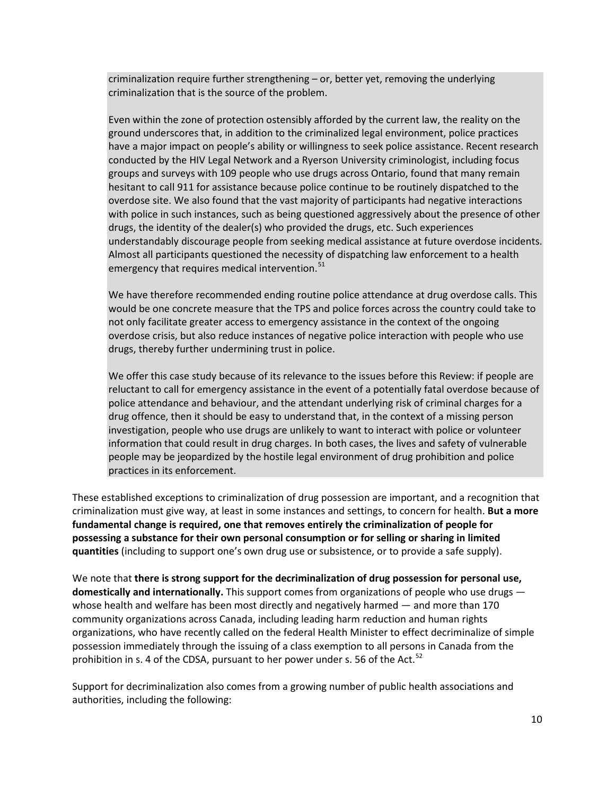criminalization require further strengthening – or, better yet, removing the underlying criminalization that is the source of the problem.

Even within the zone of protection ostensibly afforded by the current law, the reality on the ground underscores that, in addition to the criminalized legal environment, police practices have a major impact on people's ability or willingness to seek police assistance. Recent research conducted by the HIV Legal Network and a Ryerson University criminologist, including focus groups and surveys with 109 people who use drugs across Ontario, found that many remain hesitant to call 911 for assistance because police continue to be routinely dispatched to the overdose site. We also found that the vast majority of participants had negative interactions with police in such instances, such as being questioned aggressively about the presence of other drugs, the identity of the dealer(s) who provided the drugs, etc. Such experiences understandably discourage people from seeking medical assistance at future overdose incidents. Almost all participants questioned the necessity of dispatching law enforcement to a health emergency that requires medical intervention.<sup>[51](#page-23-0)</sup>

We have therefore recommended ending routine police attendance at drug overdose calls. This would be one concrete measure that the TPS and police forces across the country could take to not only facilitate greater access to emergency assistance in the context of the ongoing overdose crisis, but also reduce instances of negative police interaction with people who use drugs, thereby further undermining trust in police.

We offer this case study because of its relevance to the issues before this Review: if people are reluctant to call for emergency assistance in the event of a potentially fatal overdose because of police attendance and behaviour, and the attendant underlying risk of criminal charges for a drug offence, then it should be easy to understand that, in the context of a missing person investigation, people who use drugs are unlikely to want to interact with police or volunteer information that could result in drug charges. In both cases, the lives and safety of vulnerable people may be jeopardized by the hostile legal environment of drug prohibition and police practices in its enforcement.

These established exceptions to criminalization of drug possession are important, and a recognition that criminalization must give way, at least in some instances and settings, to concern for health. **But a more fundamental change is required, one that removes entirely the criminalization of people for possessing a substance for their own personal consumption or for selling or sharing in limited quantities** (including to support one's own drug use or subsistence, or to provide a safe supply).

We note that **there is strong support for the decriminalization of drug possession for personal use, domestically and internationally.** This support comes from organizations of people who use drugs whose health and welfare has been most directly and negatively harmed — and more than 170 community organizations across Canada, including leading harm reduction and human rights organizations, who have recently called on the federal Health Minister to effect decriminalize of simple possession immediately through the issuing of a class exemption to all persons in Canada from the prohibition in s. 4 of the CDSA, pursuant to her power under s. 56 of the Act.<sup>[52](#page-23-1)</sup>

Support for decriminalization also comes from a growing number of public health associations and authorities, including the following: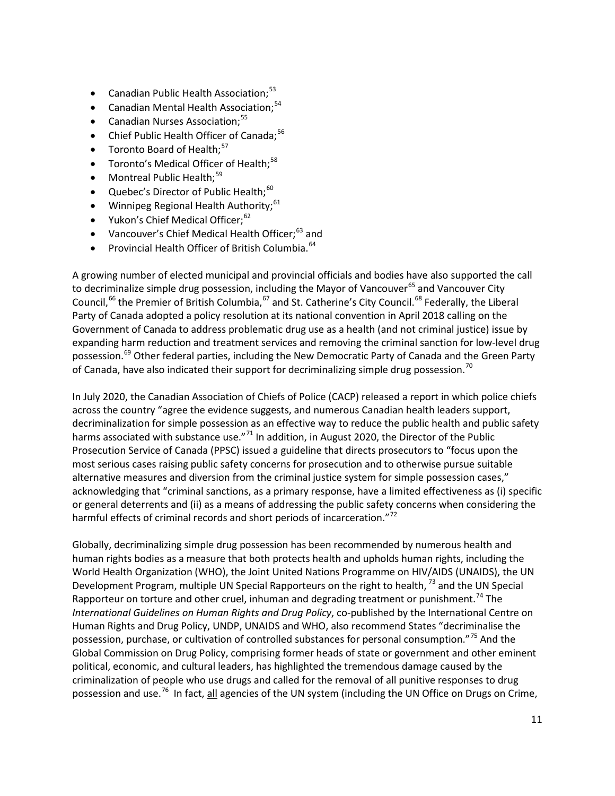- **•** Canadian Public Health Association;<sup>[53](#page-23-2)</sup>
- Canadian Mental Health Association;<sup>[54](#page-23-3)</sup>
- **•** Canadian Nurses Association;<sup>[55](#page-23-4)</sup>
- Chief Public Health Officer of Canada;<sup>[56](#page-23-5)</sup>
- Toronto Board of Health;<sup>[57](#page-23-6)</sup>
- Toronto's Medical Officer of Health;<sup>[58](#page-23-7)</sup>
- Montreal Public Health;<sup>[59](#page-23-8)</sup>
- Quebec's Director of Public Health;<sup>[60](#page-23-9)</sup>
- Winnipeg Regional Health Authority;<sup>[61](#page-23-10)</sup>
- Yukon's Chief Medical Officer;<sup>[62](#page-23-11)</sup>
- Vancouver's Chief Medical Health Officer;<sup>[63](#page-23-12)</sup> and
- Provincial Health Officer of British Columbia.<sup>[64](#page-23-13)</sup>

A growing number of elected municipal and provincial officials and bodies have also supported the call to decriminalize simple drug possession, including the Mayor of Vancouver<sup>[65](#page-23-14)</sup> and Vancouver City Council,<sup>[66](#page-23-15)</sup> the Premier of British Columbia,<sup>[67](#page-23-16)</sup> and St. Catherine's City Council.<sup>[68](#page-23-17)</sup> Federally, the Liberal Party of Canada adopted a policy resolution at its national convention in April 2018 calling on the Government of Canada to address problematic drug use as a health (and not criminal justice) issue by expanding harm reduction and treatment services and removing the criminal sanction for low-level drug possession.<sup>[69](#page-23-18)</sup> Other federal parties, including the New Democratic Party of Canada and the Green Party of Canada, have also indicated their support for decriminalizing simple drug possession.<sup>70</sup>

In July 2020, the Canadian Association of Chiefs of Police (CACP) released a report in which police chiefs across the country "agree the evidence suggests, and numerous Canadian health leaders support, decriminalization for simple possession as an effective way to reduce the public health and public safety harms associated with substance use."<sup>[71](#page-23-4)</sup> In addition, in August 2020, the Director of the Public Prosecution Service of Canada (PPSC) issued a guideline that directs prosecutors to "focus upon the most serious cases raising public safety concerns for prosecution and to otherwise pursue suitable alternative measures and diversion from the criminal justice system for simple possession cases," acknowledging that "criminal sanctions, as a primary response, have a limited effectiveness as (i) specific or general deterrents and (ii) as a means of addressing the public safety concerns when considering the harmful effects of criminal records and short periods of incarceration."<sup>[72](#page-23-20)</sup>

Globally, decriminalizing simple drug possession has been recommended by numerous health and human rights bodies as a measure that both protects health and upholds human rights, including the World Health Organization (WHO), the Joint United Nations Programme on HIV/AIDS (UNAIDS), the UN Development Program, multiple UN Special Rapporteurs on the right to health, <sup>[73](#page-23-6)</sup> and the UN Special Rapporteur on torture and other cruel, inhuman and degrading treatment or punishment.<sup>[74](#page-23-21)</sup> The *International Guidelines on Human Rights and Drug Policy*, co-published by the International Centre on Human Rights and Drug Policy, UNDP, UNAIDS and WHO, also recommend States "decriminalise the possession, purchase, or cultivation of controlled substances for personal consumption."[75](#page-23-22) And the Global Commission on Drug Policy, comprising former heads of state or government and other eminent political, economic, and cultural leaders, has highlighted the tremendous damage caused by the criminalization of people who use drugs and called for the removal of all punitive responses to drug possession and use.<sup>[76](#page-23-23)</sup> In fact, all agencies of the UN system (including the UN Office on Drugs on Crime,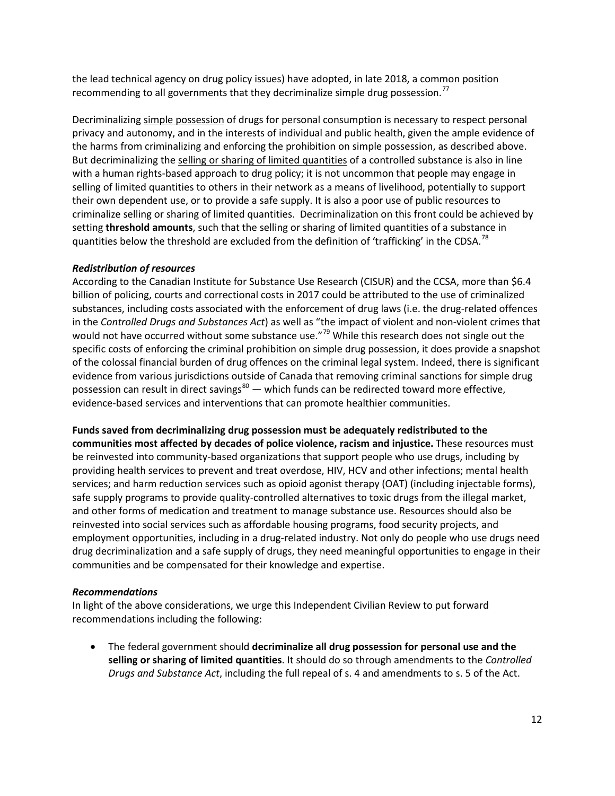the lead technical agency on drug policy issues) have adopted, in late 2018, a common position recommending to all governments that they decriminalize simple drug possession.<sup>[77](#page-23-24)</sup>

Decriminalizing simple possession of drugs for personal consumption is necessary to respect personal privacy and autonomy, and in the interests of individual and public health, given the ample evidence of the harms from criminalizing and enforcing the prohibition on simple possession, as described above. But decriminalizing the selling or sharing of limited quantities of a controlled substance is also in line with a human rights-based approach to drug policy; it is not uncommon that people may engage in selling of limited quantities to others in their network as a means of livelihood, potentially to support their own dependent use, or to provide a safe supply. It is also a poor use of public resources to criminalize selling or sharing of limited quantities. Decriminalization on this front could be achieved by setting **threshold amounts**, such that the selling or sharing of limited quantities of a substance in quantities below the threshold are excluded from the definition of 'trafficking' in the CDSA.<sup>[78](#page-23-25)</sup>

## *Redistribution of resources*

According to the Canadian Institute for Substance Use Research (CISUR) and the CCSA, more than \$6.4 billion of policing, courts and correctional costs in 2017 could be attributed to the use of criminalized substances, including costs associated with the enforcement of drug laws (i.e. the drug-related offences in the *Controlled Drugs and Substances Act*) as well as "the impact of violent and non-violent crimes that would not have occurred without some substance use."<sup>[79](#page-23-1)</sup> While this research does not single out the specific costs of enforcing the criminal prohibition on simple drug possession, it does provide a snapshot of the colossal financial burden of drug offences on the criminal legal system. Indeed, there is significant evidence from various jurisdictions outside of Canada that removing criminal sanctions for simple drug possession can result in direct savings<sup>[80](#page-23-26)</sup> — which funds can be redirected toward more effective, evidence-based services and interventions that can promote healthier communities.

**Funds saved from decriminalizing drug possession must be adequately redistributed to the communities most affected by decades of police violence, racism and injustice.** These resources must be reinvested into community-based organizations that support people who use drugs, including by providing health services to prevent and treat overdose, HIV, HCV and other infections; mental health services; and harm reduction services such as opioid agonist therapy (OAT) (including injectable forms), safe supply programs to provide quality-controlled alternatives to toxic drugs from the illegal market, and other forms of medication and treatment to manage substance use. Resources should also be reinvested into social services such as affordable housing programs, food security projects, and employment opportunities, including in a drug-related industry. Not only do people who use drugs need drug decriminalization and a safe supply of drugs, they need meaningful opportunities to engage in their communities and be compensated for their knowledge and expertise.

## *Recommendations*

In light of the above considerations, we urge this Independent Civilian Review to put forward recommendations including the following:

• The federal government should **decriminalize all drug possession for personal use and the selling or sharing of limited quantities**. It should do so through amendments to the *Controlled Drugs and Substance Act*, including the full repeal of s. 4 and amendments to s. 5 of the Act.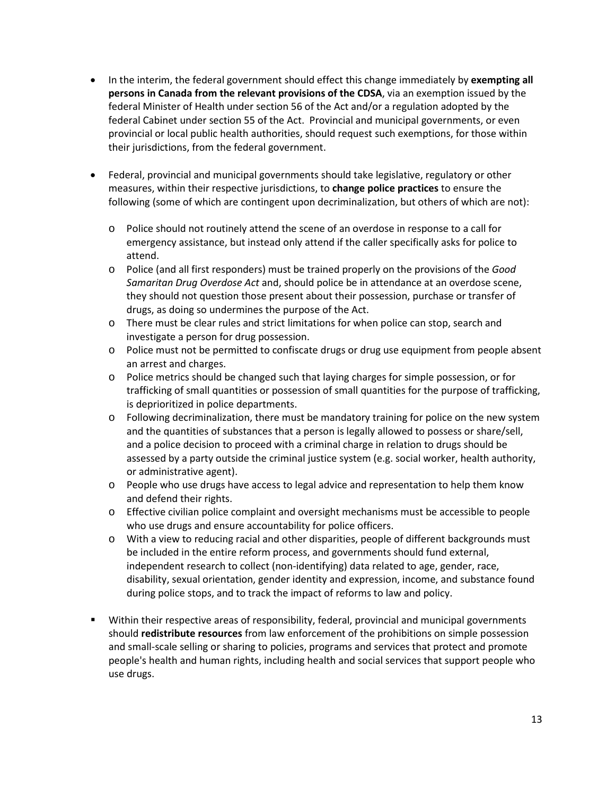- In the interim, the federal government should effect this change immediately by **exempting all persons in Canada from the relevant provisions of the CDSA**, via an exemption issued by the federal Minister of Health under section 56 of the Act and/or a regulation adopted by the federal Cabinet under section 55 of the Act. Provincial and municipal governments, or even provincial or local public health authorities, should request such exemptions, for those within their jurisdictions, from the federal government.
- Federal, provincial and municipal governments should take legislative, regulatory or other measures, within their respective jurisdictions, to **change police practices** to ensure the following (some of which are contingent upon decriminalization, but others of which are not):
	- o Police should not routinely attend the scene of an overdose in response to a call for emergency assistance, but instead only attend if the caller specifically asks for police to attend.
	- o Police (and all first responders) must be trained properly on the provisions of the *Good Samaritan Drug Overdose Act* and, should police be in attendance at an overdose scene, they should not question those present about their possession, purchase or transfer of drugs, as doing so undermines the purpose of the Act.
	- o There must be clear rules and strict limitations for when police can stop, search and investigate a person for drug possession.
	- o Police must not be permitted to confiscate drugs or drug use equipment from people absent an arrest and charges.
	- o Police metrics should be changed such that laying charges for simple possession, or for trafficking of small quantities or possession of small quantities for the purpose of trafficking, is deprioritized in police departments.
	- o Following decriminalization, there must be mandatory training for police on the new system and the quantities of substances that a person is legally allowed to possess or share/sell, and a police decision to proceed with a criminal charge in relation to drugs should be assessed by a party outside the criminal justice system (e.g. social worker, health authority, or administrative agent).
	- o People who use drugs have access to legal advice and representation to help them know and defend their rights.
	- o Effective civilian police complaint and oversight mechanisms must be accessible to people who use drugs and ensure accountability for police officers.
	- o With a view to reducing racial and other disparities, people of different backgrounds must be included in the entire reform process, and governments should fund external, independent research to collect (non-identifying) data related to age, gender, race, disability, sexual orientation, gender identity and expression, income, and substance found during police stops, and to track the impact of reforms to law and policy.
- Within their respective areas of responsibility, federal, provincial and municipal governments should **redistribute resources** from law enforcement of the prohibitions on simple possession and small-scale selling or sharing to policies, programs and services that protect and promote people's health and human rights, including health and social services that support people who use drugs.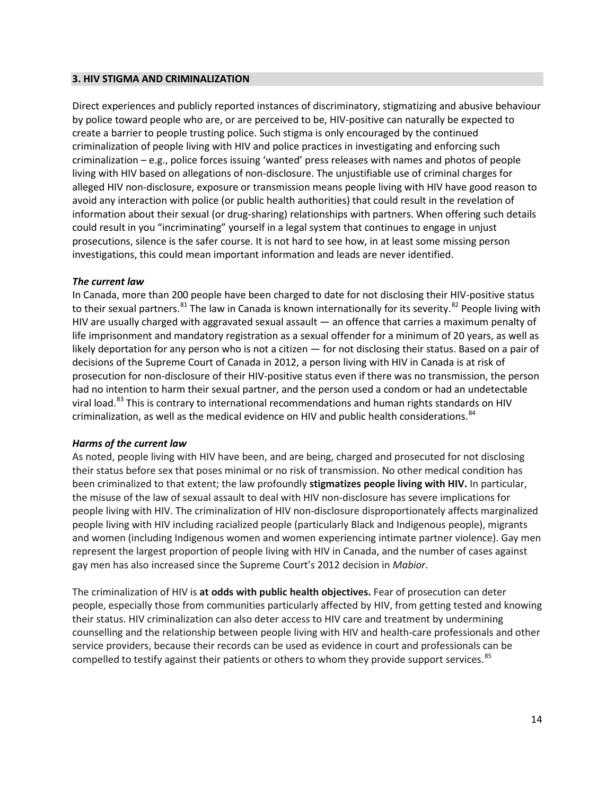#### **3. HIV STIGMA AND CRIMINALIZATION**

Direct experiences and publicly reported instances of discriminatory, stigmatizing and abusive behaviour by police toward people who are, or are perceived to be, HIV-positive can naturally be expected to create a barrier to people trusting police. Such stigma is only encouraged by the continued criminalization of people living with HIV and police practices in investigating and enforcing such criminalization – e.g., police forces issuing 'wanted' press releases with names and photos of people living with HIV based on allegations of non-disclosure. The unjustifiable use of criminal charges for alleged HIV non-disclosure, exposure or transmission means people living with HIV have good reason to avoid any interaction with police (or public health authorities) that could result in the revelation of information about their sexual (or drug-sharing) relationships with partners. When offering such details could result in you "incriminating" yourself in a legal system that continues to engage in unjust prosecutions, silence is the safer course. It is not hard to see how, in at least some missing person investigations, this could mean important information and leads are never identified.

## *The current law*

In Canada, more than 200 people have been charged to date for not disclosing their HIV-positive status to their sexual partners.<sup>[81](#page-23-27)</sup> The law in Canada is known internationally for its severity.<sup>[82](#page-23-28)</sup> People living with HIV are usually charged with aggravated sexual assault — an offence that carries a maximum penalty of life imprisonment and mandatory registration as a sexual offender for a minimum of 20 years, as well as likely deportation for any person who is not a citizen — for not disclosing their status. Based on a pair of decisions of the Supreme Court of Canada in 2012, a person living with HIV in Canada is at risk of prosecution for non-disclosure of their HIV-positive status even if there was no transmission, the person had no intention to harm their sexual partner, and the person used a condom or had an undetectable viral load.<sup>[83](#page-23-29)</sup> This is contrary to international recommendations and human rights standards on HIV criminalization, as well as the medical evidence on HIV and public health considerations.<sup>[84](#page-23-30)</sup>

#### *Harms of the current law*

As noted, people living with HIV have been, and are being, charged and prosecuted for not disclosing their status before sex that poses minimal or no risk of transmission. No other medical condition has been criminalized to that extent; the law profoundly **stigmatizes people living with HIV.** In particular, the misuse of the law of sexual assault to deal with HIV non-disclosure has severe implications for people living with HIV. The criminalization of HIV non-disclosure disproportionately affects marginalized people living with HIV including racialized people (particularly Black and Indigenous people), migrants and women (including Indigenous women and women experiencing intimate partner violence). Gay men represent the largest proportion of people living with HIV in Canada, and the number of cases against gay men has also increased since the Supreme Court's 2012 decision in *Mabior*.

The criminalization of HIV is **at odds with public health objectives.** Fear of prosecution can deter people, especially those from communities particularly affected by HIV, from getting tested and knowing their status. HIV criminalization can also deter access to HIV care and treatment by undermining counselling and the relationship between people living with HIV and health-care professionals and other service providers, because their records can be used as evidence in court and professionals can be compelled to testify against their patients or others to whom they provide support services.<sup>[85](#page-23-21)</sup>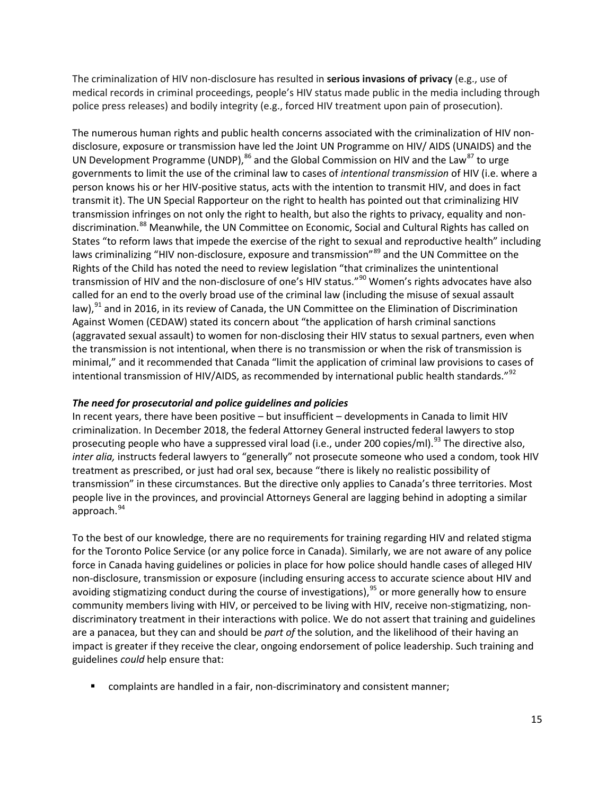The criminalization of HIV non-disclosure has resulted in **serious invasions of privacy** (e.g., use of medical records in criminal proceedings, people's HIV status made public in the media including through police press releases) and bodily integrity (e.g., forced HIV treatment upon pain of prosecution).

The numerous human rights and public health concerns associated with the criminalization of HIV nondisclosure, exposure or transmission have led the Joint UN Programme on HIV/ AIDS (UNAIDS) and the UN Development Programme (UNDP), $^{86}$  $^{86}$  $^{86}$  and the Global Commission on HIV and the Law $^{87}$  $^{87}$  $^{87}$  to urge governments to limit the use of the criminal law to cases of *intentional transmission* of HIV (i.e. where a person knows his or her HIV-positive status, acts with the intention to transmit HIV, and does in fact transmit it). The UN Special Rapporteur on the right to health has pointed out that criminalizing HIV transmission infringes on not only the right to health, but also the rights to privacy, equality and non-discrimination.<sup>[88](#page-23-11)</sup> Meanwhile, the UN Committee on Economic, Social and Cultural Rights has called on States "to reform laws that impede the exercise of the right to sexual and reproductive health" including laws criminalizing "HIV non-disclosure, exposure and transmission"<sup>[89](#page-23-12)</sup> and the UN Committee on the Rights of the Child has noted the need to review legislation "that criminalizes the unintentional transmission of HIV and the non-disclosure of one's HIV status."<sup>[90](#page-23-32)</sup> Women's rights advocates have also called for an end to the overly broad use of the criminal law (including the misuse of sexual assault law),<sup>[91](#page-23-33)</sup> and in 2016, in its review of Canada, the UN Committee on the Elimination of Discrimination Against Women (CEDAW) stated its concern about "the application of harsh criminal sanctions (aggravated sexual assault) to women for non-disclosing their HIV status to sexual partners, even when the transmission is not intentional, when there is no transmission or when the risk of transmission is minimal," and it recommended that Canada "limit the application of criminal law provisions to cases of intentional transmission of HIV/AIDS, as recommended by international public health standards."<sup>[92](#page-23-34)</sup>

## *The need for prosecutorial and police guidelines and policies*

In recent years, there have been positive – but insufficient – developments in Canada to limit HIV criminalization. In December 2018, the federal Attorney General instructed federal lawyers to stop prosecuting people who have a suppressed viral load (i.e., under 200 copies/ml).<sup>[93](#page-23-16)</sup> The directive also, *inter alia,* instructs federal lawyers to "generally" not prosecute someone who used a condom, took HIV treatment as prescribed, or just had oral sex, because "there is likely no realistic possibility of transmission" in these circumstances. But the directive only applies to Canada's three territories. Most people live in the provinces, and provincial Attorneys General are lagging behind in adopting a similar approach.<sup>[94](#page-23-1)</sup>

To the best of our knowledge, there are no requirements for training regarding HIV and related stigma for the Toronto Police Service (or any police force in Canada). Similarly, we are not aware of any police force in Canada having guidelines or policies in place for how police should handle cases of alleged HIV non-disclosure, transmission or exposure (including ensuring access to accurate science about HIV and avoiding stigmatizing conduct during the course of investigations),<sup>[95](#page-23-35)</sup> or more generally how to ensure community members living with HIV, or perceived to be living with HIV, receive non-stigmatizing, nondiscriminatory treatment in their interactions with police. We do not assert that training and guidelines are a panacea, but they can and should be *part of* the solution, and the likelihood of their having an impact is greater if they receive the clear, ongoing endorsement of police leadership. Such training and guidelines *could* help ensure that:

complaints are handled in a fair, non-discriminatory and consistent manner;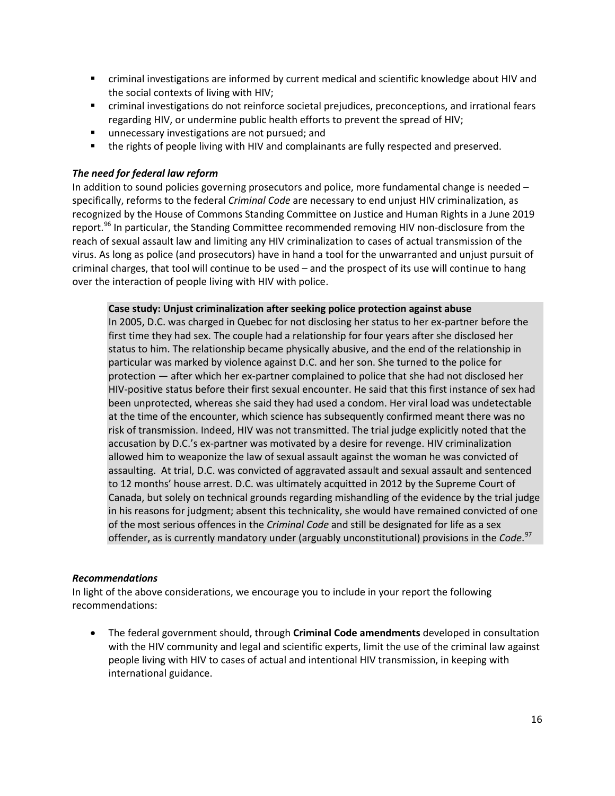- criminal investigations are informed by current medical and scientific knowledge about HIV and the social contexts of living with HIV;
- criminal investigations do not reinforce societal prejudices, preconceptions, and irrational fears regarding HIV, or undermine public health efforts to prevent the spread of HIV;
- **unnecessary investigations are not pursued; and**
- **the rights of people living with HIV and complainants are fully respected and preserved.**

## *The need for federal law reform*

In addition to sound policies governing prosecutors and police, more fundamental change is needed – specifically, reforms to the federal *Criminal Code* are necessary to end unjust HIV criminalization, as recognized by the House of Commons Standing Committee on Justice and Human Rights in a June 2019 report.<sup>[96](#page-23-36)</sup> In particular, the Standing Committee recommended removing HIV non-disclosure from the reach of sexual assault law and limiting any HIV criminalization to cases of actual transmission of the virus. As long as police (and prosecutors) have in hand a tool for the unwarranted and unjust pursuit of criminal charges, that tool will continue to be used – and the prospect of its use will continue to hang over the interaction of people living with HIV with police.

#### **Case study: Unjust criminalization after seeking police protection against abuse**

In 2005, D.C. was charged in Quebec for not disclosing her status to her ex-partner before the first time they had sex. The couple had a relationship for four years after she disclosed her status to him. The relationship became physically abusive, and the end of the relationship in particular was marked by violence against D.C. and her son. She turned to the police for protection — after which her ex-partner complained to police that she had not disclosed her HIV-positive status before their first sexual encounter. He said that this first instance of sex had been unprotected, whereas she said they had used a condom. Her viral load was undetectable at the time of the encounter, which science has subsequently confirmed meant there was no risk of transmission. Indeed, HIV was not transmitted. The trial judge explicitly noted that the accusation by D.C.'s ex-partner was motivated by a desire for revenge. HIV criminalization allowed him to weaponize the law of sexual assault against the woman he was convicted of assaulting. At trial, D.C. was convicted of aggravated assault and sexual assault and sentenced to 12 months' house arrest. D.C. was ultimately acquitted in 2012 by the Supreme Court of Canada, but solely on technical grounds regarding mishandling of the evidence by the trial judge in his reasons for judgment; absent this technicality, she would have remained convicted of one of the most serious offences in the *Criminal Code* and still be designated for life as a sex offender, as is currently mandatory under (arguably unconstitutional) provisions in the *Code*. [97](#page-23-37)

## *Recommendations*

In light of the above considerations, we encourage you to include in your report the following recommendations:

• The federal government should, through **Criminal Code amendments** developed in consultation with the HIV community and legal and scientific experts, limit the use of the criminal law against people living with HIV to cases of actual and intentional HIV transmission, in keeping with international guidance.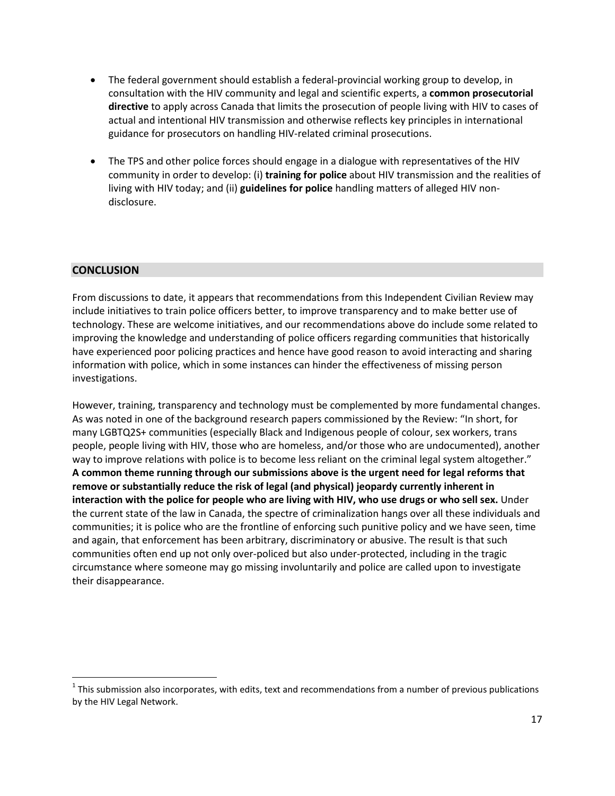- The federal government should establish a federal-provincial working group to develop, in consultation with the HIV community and legal and scientific experts, a **common prosecutorial directive** to apply across Canada that limits the prosecution of people living with HIV to cases of actual and intentional HIV transmission and otherwise reflects key principles in international guidance for prosecutors on handling HIV-related criminal prosecutions.
- The TPS and other police forces should engage in a dialogue with representatives of the HIV community in order to develop: (i) **training for police** about HIV transmission and the realities of living with HIV today; and (ii) **guidelines for police** handling matters of alleged HIV nondisclosure.

# **CONCLUSION**

 $\overline{a}$ 

From discussions to date, it appears that recommendations from this Independent Civilian Review may include initiatives to train police officers better, to improve transparency and to make better use of technology. These are welcome initiatives, and our recommendations above do include some related to improving the knowledge and understanding of police officers regarding communities that historically have experienced poor policing practices and hence have good reason to avoid interacting and sharing information with police, which in some instances can hinder the effectiveness of missing person investigations.

However, training, transparency and technology must be complemented by more fundamental changes. As was noted in one of the background research papers commissioned by the Review: "In short, for many LGBTQ2S+ communities (especially Black and Indigenous people of colour, sex workers, trans people, people living with HIV, those who are homeless, and/or those who are undocumented), another way to improve relations with police is to become less reliant on the criminal legal system altogether." **A common theme running through our submissions above is the urgent need for legal reforms that remove or substantially reduce the risk of legal (and physical) jeopardy currently inherent in interaction with the police for people who are living with HIV, who use drugs or who sell sex.** Under the current state of the law in Canada, the spectre of criminalization hangs over all these individuals and communities; it is police who are the frontline of enforcing such punitive policy and we have seen, time and again, that enforcement has been arbitrary, discriminatory or abusive. The result is that such communities often end up not only over-policed but also under-protected, including in the tragic circumstance where someone may go missing involuntarily and police are called upon to investigate their disappearance.

 $1$  This submission also incorporates, with edits, text and recommendations from a number of previous publications by the HIV Legal Network.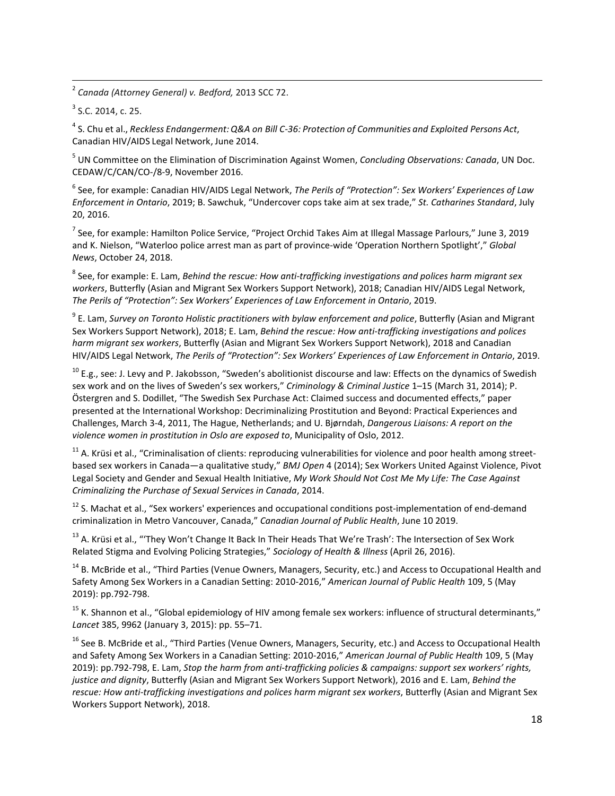<span id="page-17-0"></span><sup>2</sup> *Canada (Attorney General) v. Bedford,* 2013 SCC 72.

<span id="page-17-1"></span> $3$  S.C. 2014, c. 25.

 $\overline{a}$ 

<span id="page-17-2"></span><sup>4</sup> S. Chu et al., *Reckless Endangerment:Q&A on Bill C-36: Protection of Communities and Exploited Persons Act*, Canadian HIV/AIDS Legal Network, June 2014.

<sup>5</sup> UN Committee on the Elimination of Discrimination Against Women, *Concluding Observations: Canada*, UN Doc. CEDAW/C/CAN/CO-/8-9, November 2016.

<sup>6</sup> See, for example: Canadian HIV/AIDS Legal Network, *The Perils of "Protection": Sex Workers' Experiences of Law Enforcement in Ontario*, 2019; B. Sawchuk, "Undercover cops take aim at sex trade," *St. Catharines Standard*, July 20, 2016.

<sup>7</sup> See, for example: Hamilton Police Service, "Project Orchid Takes Aim at Illegal Massage Parlours," June 3, 2019 and K. Nielson, "Waterloo police arrest man as part of province-wide 'Operation Northern Spotlight'," *Global News*, October 24, 2018.

<sup>8</sup> See, for example: E. Lam, *Behind the rescue: How anti-trafficking investigations and polices harm migrant sex workers*, Butterfly (Asian and Migrant Sex Workers Support Network), 2018; Canadian HIV/AIDS Legal Network, *The Perils of "Protection": Sex Workers' Experiences of Law Enforcement in Ontario*, 2019.

<sup>9</sup> E. Lam, *Survey on Toronto Holistic practitioners with bylaw enforcement and police*, Butterfly (Asian and Migrant Sex Workers Support Network), 2018; E. Lam, *Behind the rescue: How anti-trafficking investigations and polices harm migrant sex workers*, Butterfly (Asian and Migrant Sex Workers Support Network), 2018 and Canadian HIV/AIDS Legal Network, *The Perils of "Protection": Sex Workers' Experiences of Law Enforcement in Ontario*, 2019.

 $10$  E.g., see: J. Levy and P. Jakobsson, "Sweden's abolitionist discourse and law: Effects on the dynamics of Swedish sex work and on the lives of Sweden's sex workers," *Criminology & Criminal Justice* 1–15 (March 31, 2014); P. Östergren and S. Dodillet, "The Swedish Sex Purchase Act: Claimed success and documented effects," paper presented at the International Workshop: Decriminalizing Prostitution and Beyond: Practical Experiences and Challenges, March 3-4, 2011, The Hague, Netherlands; and U. Bjørndah, *Dangerous Liaisons: A report on the violence women in prostitution in Oslo are exposed to*, Municipality of Oslo, 2012.

<sup>11</sup> A. Krüsi et al., "Criminalisation of clients: reproducing vulnerabilities for violence and poor health among streetbased sex workers in Canada—a qualitative study," *BMJ Open* 4 (2014); Sex Workers United Against Violence, Pivot Legal Society and Gender and Sexual Health Initiative, *My Work Should Not Cost Me My Life: The Case Against Criminalizing the Purchase of Sexual Services in Canada*, 2014.

<sup>12</sup> S. Machat et al., "Sex workers' experiences and occupational conditions post-implementation of end-demand criminalization in Metro Vancouver, Canada," *Canadian Journal of Public Health*, June 10 2019.

<sup>13</sup> A. Krüsi et al., "'They Won't Change It Back In Their Heads That We're Trash': The Intersection of Sex Work Related Stigma and Evolving Policing Strategies," *Sociology of Health & Illness* (April 26, 2016).

<sup>14</sup> B. McBride et al., "Third Parties (Venue Owners, Managers, Security, etc.) and Access to Occupational Health and Safety Among Sex Workers in a Canadian Setting: 2010-2016," *American Journal of Public Health* 109, 5 (May 2019): pp.792-798.

 $15$  K. Shannon et al., "Global epidemiology of HIV among female sex workers: influence of structural determinants," *Lancet* 385, 9962 (January 3, 2015): pp. 55–71.

<sup>16</sup> See B. McBride et al., "Third Parties (Venue Owners, Managers, Security, etc.) and Access to Occupational Health and Safety Among Sex Workers in a Canadian Setting: 2010-2016," *American Journal of Public Health* 109, 5 (May 2019): pp.792-798, E. Lam, *Stop the harm from anti-trafficking policies & campaigns: support sex workers' rights, justice and dignity*, Butterfly (Asian and Migrant Sex Workers Support Network), 2016 and E. Lam, *Behind the rescue: How anti-trafficking investigations and polices harm migrant sex workers*, Butterfly (Asian and Migrant Sex Workers Support Network), 2018.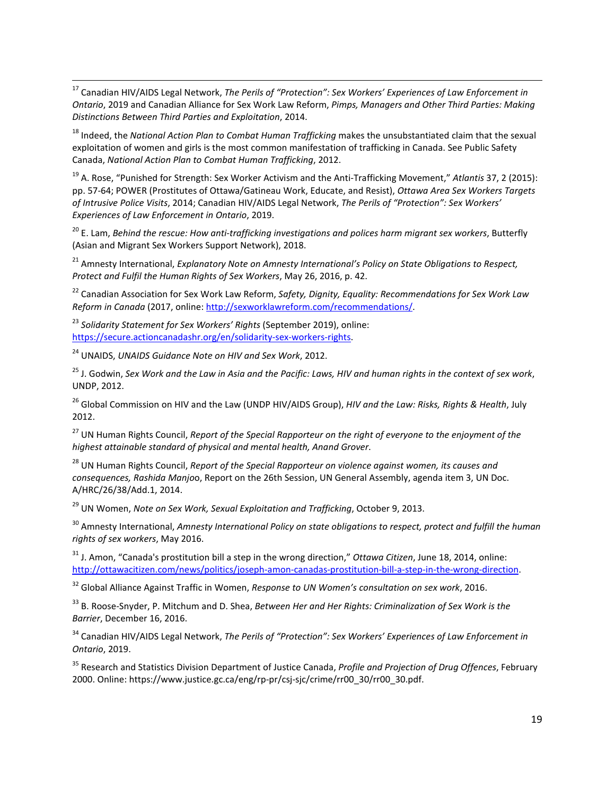<sup>17</sup> Canadian HIV/AIDS Legal Network, *The Perils of "Protection": Sex Workers' Experiences of Law Enforcement in Ontario*, 2019 and Canadian Alliance for Sex Work Law Reform, *Pimps, Managers and Other Third Parties: Making Distinctions Between Third Parties and Exploitation*, 2014.

<sup>18</sup> Indeed, the *National Action Plan to Combat Human Trafficking* makes the unsubstantiated claim that the sexual exploitation of women and girls is the most common manifestation of trafficking in Canada. See Public Safety Canada, *National Action Plan to Combat Human Trafficking*, 2012.

<span id="page-18-1"></span><span id="page-18-0"></span><sup>19</sup> A. Rose, "Punished for Strength: Sex Worker Activism and the Anti-Trafficking Movement," *Atlantis* 37, 2 (2015): pp. 57-64; POWER (Prostitutes of Ottawa/Gatineau Work, Educate, and Resist), *Ottawa Area Sex Workers Targets of Intrusive Police Visits*, 2014; Canadian HIV/AIDS Legal Network, *The Perils of "Protection": Sex Workers' Experiences of Law Enforcement in Ontario*, 2019.

<span id="page-18-2"></span><sup>20</sup> E. Lam, *Behind the rescue: How anti-trafficking investigations and polices harm migrant sex workers*, Butterfly (Asian and Migrant Sex Workers Support Network), 2018.

<span id="page-18-3"></span><sup>21</sup> Amnesty International, *Explanatory Note on Amnesty International's Policy on State Obligations to Respect, Protect and Fulfil the Human Rights of Sex Workers*, May 26, 2016, p. 42.

<sup>22</sup> Canadian Association for Sex Work Law Reform, *Safety, Dignity, Equality: Recommendations for Sex Work Law Reform in Canada* (2017, online: [http://sexworklawreform.com/recommendations/.](http://sexworklawreform.com/recommendations/)

<span id="page-18-4"></span><sup>23</sup> *Solidarity Statement for Sex Workers' Rights* (September 2019), online: [https://secure.actioncanadashr.org/en/solidarity-sex-workers-rights.](https://secure.actioncanadashr.org/en/solidarity-sex-workers-rights)

<sup>24</sup> UNAIDS, *UNAIDS Guidance Note on HIV and Sex Work*, 2012.

 $\overline{a}$ 

<span id="page-18-5"></span><sup>25</sup> J. Godwin, *Sex Work and the Law in Asia and the Pacific: Laws, HIV and human rights in the context of sex work*, UNDP, 2012.

<sup>26</sup> Global Commission on HIV and the Law (UNDP HIV/AIDS Group), *HIV and the Law: Risks, Rights & Health*, July 2012.

<sup>27</sup> UN Human Rights Council, *Report of the Special Rapporteur on the right of everyone to the enjoyment of the highest attainable standard of physical and mental health, Anand Grover*.

<span id="page-18-6"></span><sup>28</sup> UN Human Rights Council, *Report of the Special Rapporteur on violence against women, its causes and consequences, Rashida Manjo*o, Report on the 26th Session, UN General Assembly, agenda item 3, UN Doc. A/HRC/26/38/Add.1, 2014.

<span id="page-18-7"></span><sup>29</sup> UN Women, *Note on Sex Work, Sexual Exploitation and Trafficking*, October 9, 2013.

<span id="page-18-8"></span><sup>30</sup> Amnesty International, *Amnesty International Policy on state obligations to respect, protect and fulfill the human rights of sex workers*, May 2016.

<span id="page-18-9"></span><sup>31</sup> J. Amon, "Canada's prostitution bill a step in the wrong direction," *Ottawa Citizen*, June 18, 2014, online: [http://ottawacitizen.com/news/politics/joseph-amon-canadas-prostitution-bill-a-step-in-the-wrong-direction.](http://ottawacitizen.com/news/politics/joseph-amon-canadas-prostitution-bill-a-step-in-the-wrong-direction)

<sup>32</sup> Global Alliance Against Traffic in Women, *Response to UN Women's consultation on sex work*, 2016.

<span id="page-18-10"></span><sup>33</sup> B. Roose-Snyder, P. Mitchum and D. Shea, *Between Her and Her Rights: Criminalization of Sex Work is the Barrier*, December 16, 2016.

<span id="page-18-11"></span><sup>34</sup> Canadian HIV/AIDS Legal Network, *The Perils of "Protection": Sex Workers' Experiences of Law Enforcement in Ontario*, 2019.

<sup>35</sup> Research and Statistics Division Department of Justice Canada, *Profile and Projection of Drug Offences*, February 2000. Online: https://www.justice.gc.ca/eng/rp-pr/csj-sjc/crime/rr00\_30/rr00\_30.pdf.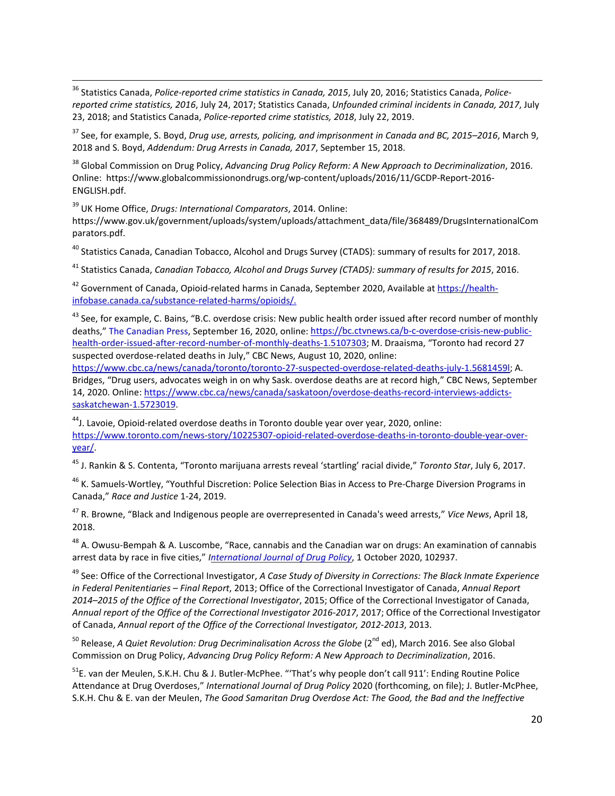<span id="page-19-0"></span><sup>36</sup> Statistics Canada, *Police-reported crime statistics in Canada, 2015*, July 20, 2016; Statistics Canada, *Policereported crime statistics, 2016*, July 24, 2017; Statistics Canada, *Unfounded criminal incidents in Canada, 2017*, July 23, 2018; and Statistics Canada, *Police-reported crime statistics, 2018*, July 22, 2019.  $\overline{a}$ 

<span id="page-19-1"></span><sup>37</sup> See, for example, S. Boyd, *Drug use, arrests, policing, and imprisonment in Canada and BC, 2015–2016*, March 9, 2018 and S. Boyd, *Addendum: Drug Arrests in Canada, 2017*, September 15, 2018.

<span id="page-19-2"></span><sup>38</sup> Global Commission on Drug Policy, *Advancing Drug Policy Reform: A New Approach to Decriminalization*, 2016. Online: https://www.globalcommissionondrugs.org/wp-content/uploads/2016/11/GCDP-Report-2016- ENGLISH.pdf.

<sup>39</sup> UK Home Office, *Drugs: International Comparators*, 2014. Online:

<span id="page-19-3"></span>https://www.gov.uk/government/uploads/system/uploads/attachment\_data/file/368489/DrugsInternationalCom parators.pdf.

<sup>40</sup> Statistics Canada, Canadian Tobacco, Alcohol and Drugs Survey (CTADS): summary of results for 2017, 2018.

<span id="page-19-4"></span><sup>41</sup> Statistics Canada, *Canadian Tobacco, Alcohol and Drugs Survey (CTADS): summary of results for 2015*, 2016.

<span id="page-19-5"></span><sup>42</sup> Government of Canada, Opioid-related harms in Canada, September 2020, Available at [https://health](https://health-infobase.canada.ca/substance-related-harms/opioids/)[infobase.canada.ca/substance-related-harms/opioids/.](https://health-infobase.canada.ca/substance-related-harms/opioids/)

<span id="page-19-6"></span><sup>43</sup> See, for example, C. Bains, "B.C. overdose crisis: New public health order issued after record number of monthly deaths,[" The Canadian Press,](https://www.ctvnews.ca/the-canadian-press-1.4652320) September 16, 2020, online[: https://bc.ctvnews.ca/b-c-overdose-crisis-new-public](https://bc.ctvnews.ca/b-c-overdose-crisis-new-public-health-order-issued-after-record-number-of-monthly-deaths-1.5107303)[health-order-issued-after-record-number-of-monthly-deaths-1.5107303;](https://bc.ctvnews.ca/b-c-overdose-crisis-new-public-health-order-issued-after-record-number-of-monthly-deaths-1.5107303) M. Draaisma, "Toronto had record 27 suspected overdose-related deaths in July," CBC News, August 10, 2020, online:

<span id="page-19-8"></span><span id="page-19-7"></span>[https://www.cbc.ca/news/canada/toronto/toronto-27-suspected-overdose-related-deaths-july-1.5681459l;](https://www.cbc.ca/news/canada/toronto/toronto-27-suspected-overdose-related-deaths-july-1.5681459l) A. Bridges, "Drug users, advocates weigh in on why Sask. overdose deaths are at record high," CBC News, September 14, 2020. Online[: https://www.cbc.ca/news/canada/saskatoon/overdose-deaths-record-interviews-addicts](https://www.cbc.ca/news/canada/saskatoon/overdose-deaths-record-interviews-addicts-saskatchewan-1.5723019)[saskatchewan-1.5723019.](https://www.cbc.ca/news/canada/saskatoon/overdose-deaths-record-interviews-addicts-saskatchewan-1.5723019)

<span id="page-19-9"></span> $44$ J. Lavoie, Opioid-related overdose deaths in Toronto double year over year, 2020, online: [https://www.toronto.com/news-story/10225307-opioid-related-overdose-deaths-in-toronto-double-year-over](https://www.toronto.com/news-story/10225307-opioid-related-overdose-deaths-in-toronto-double-year-over-year/)[year/.](https://www.toronto.com/news-story/10225307-opioid-related-overdose-deaths-in-toronto-double-year-over-year/)

<sup>45</sup> J. Rankin & S. Contenta, "Toronto marijuana arrests reveal 'startling' racial divide," *Toronto Star*, July 6, 2017.

<sup>46</sup> K. Samuels-Wortley, "Youthful Discretion: Police Selection Bias in Access to Pre-Charge Diversion Programs in Canada," *Race and Justice* 1-24, 2019.

<sup>47</sup> R. Browne, "Black and Indigenous people are overrepresented in Canada's weed arrests," *Vice News*, April 18, 2018.

<sup>48</sup> A. Owusu-Bempah & A. Luscombe, "Race, cannabis and the Canadian war on drugs: An examination of cannabis arrest data by race in five cities," *[International Journal of Drug Policy](https://www.sciencedirect.com/science/journal/09553959)*, 1 October 2020, 102937.

<sup>49</sup> See: Office of the Correctional Investigator, *A Case Study of Diversity in Corrections: The Black Inmate Experience in Federal Penitentiaries – Final Report*, 2013; Office of the Correctional Investigator of Canada, *Annual Report 2014–2015 of the Office of the Correctional Investigator*, 2015; Office of the Correctional Investigator of Canada, *Annual report of the Office of the Correctional Investigator 2016-2017*, 2017; Office of the Correctional Investigator of Canada, *Annual report of the Office of the Correctional Investigator, 2012-2013*, 2013.

<sup>50</sup> Release, *A Quiet Revolution: Drug Decriminalisation Across the Globe* (2<sup>nd</sup> ed), March 2016. See also Global Commission on Drug Policy, *Advancing Drug Policy Reform: A New Approach to Decriminalization*, 2016.

<sup>51</sup>E. van der Meulen, S.K.H. Chu & J. Butler-McPhee. "'That's why people don't call 911': Ending Routine Police Attendance at Drug Overdoses," *International Journal of Drug Policy* 2020 (forthcoming, on file); J. Butler-McPhee, S.K.H. Chu & E. van der Meulen, *The Good Samaritan Drug Overdose Act: The Good, the Bad and the Ineffective*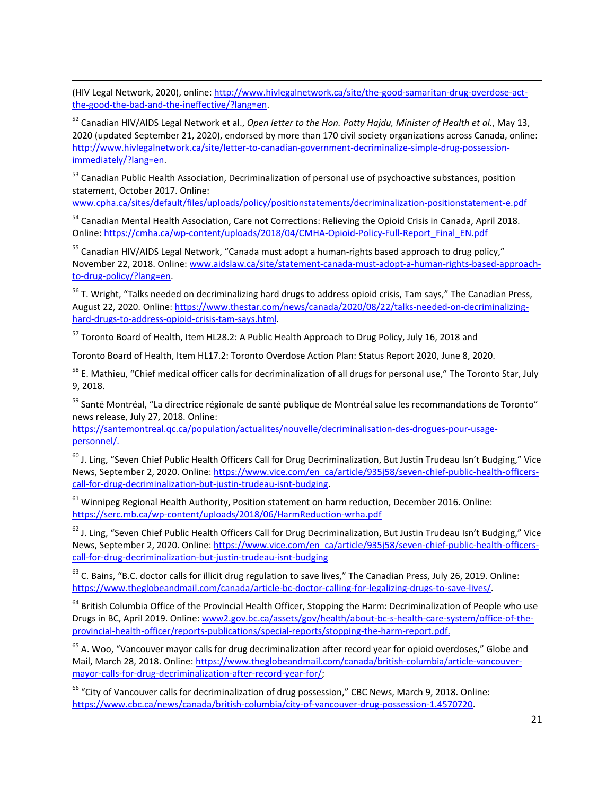<span id="page-20-9"></span>(HIV Legal Network, 2020), online: [http://www.hivlegalnetwork.ca/site/the-good-samaritan-drug-overdose-act](http://www.hivlegalnetwork.ca/site/the-good-samaritan-drug-overdose-act-the-good-the-bad-and-the-ineffective/?lang=en)[the-good-the-bad-and-the-ineffective/?lang=en.](http://www.hivlegalnetwork.ca/site/the-good-samaritan-drug-overdose-act-the-good-the-bad-and-the-ineffective/?lang=en)

 $\overline{a}$ 

<sup>52</sup> Canadian HIV/AIDS Legal Network et al., *Open letter to the Hon. Patty Hajdu, Minister of Health et al.*, May 13, 2020 (updated September 21, 2020), endorsed by more than 170 civil society organizations across Canada, online: [http://www.hivlegalnetwork.ca/site/letter-to-canadian-government-decriminalize-simple-drug-possession](http://www.hivlegalnetwork.ca/site/letter-to-canadian-government-decriminalize-simple-drug-possession-immediately/?lang=en)[immediately/?lang=en.](http://www.hivlegalnetwork.ca/site/letter-to-canadian-government-decriminalize-simple-drug-possession-immediately/?lang=en) 

<sup>53</sup> Canadian Public Health Association, Decriminalization of personal use of psychoactive substances, position statement, October 2017. Online:

[www.cpha.ca/sites/default/files/uploads/policy/positionstatements/decriminalization-positionstatement-e.pdf](https://www.cpha.ca/sites/default/files/uploads/policy/positionstatements/decriminalization-positionstatement-e.pdf)

<sup>54</sup> Canadian Mental Health Association, Care not Corrections: Relieving the Opioid Crisis in Canada, April 2018. Online[: https://cmha.ca/wp-content/uploads/2018/04/CMHA-Opioid-Policy-Full-Report\\_Final\\_EN.pdf](https://cmha.ca/wp-content/uploads/2018/04/CMHA-Opioid-Policy-Full-Report_Final_EN.pdf)

<sup>55</sup> Canadian HIV/AIDS Legal Network, "Canada must adopt a human-rights based approach to drug policy," November 22, 2018. Online: [www.aidslaw.ca/site/statement-canada-must-adopt-a-human-rights-based-approach](http://www.aidslaw.ca/site/statement-canada-must-adopt-a-human-rights-based-approach-to-drug-policy/?lang=en)[to-drug-policy/?lang=en.](http://www.aidslaw.ca/site/statement-canada-must-adopt-a-human-rights-based-approach-to-drug-policy/?lang=en)

<sup>56</sup> T. Wright, "Talks needed on decriminalizing hard drugs to address opioid crisis, Tam says," The Canadian Press, August 22, 2020. Online: [https://www.thestar.com/news/canada/2020/08/22/talks-needed-on-decriminalizing](https://www.thestar.com/news/canada/2020/08/22/talks-needed-on-decriminalizing-hard-drugs-to-address-opioid-crisis-tam-says.html)[hard-drugs-to-address-opioid-crisis-tam-says.html.](https://www.thestar.com/news/canada/2020/08/22/talks-needed-on-decriminalizing-hard-drugs-to-address-opioid-crisis-tam-says.html)

<sup>57</sup> Toronto Board of Health, Item HL28.2: A Public Health Approach to Drug Policy, July 16, 2018 and

Toronto Board of Health, Item HL17.2: Toronto Overdose Action Plan: Status Report 2020, June 8, 2020.

<sup>58</sup> E. Mathieu, "Chief medical officer calls for decriminalization of all drugs for personal use," The Toronto Star, July 9, 2018.

<sup>59</sup> Santé Montréal, "La directrice régionale de santé publique de Montréal salue les recommandations de Toronto" news release, July 27, 2018. Online:

<span id="page-20-0"></span>[https://santemontreal.qc.ca/population/actualites/nouvelle/decriminalisation-des-drogues-pour-usage](https://santemontreal.qc.ca/population/actualites/nouvelle/decriminalisation-des-drogues-pour-usage-personnel/)[personnel/.](https://santemontreal.qc.ca/population/actualites/nouvelle/decriminalisation-des-drogues-pour-usage-personnel/) 

<span id="page-20-1"></span><sup>60</sup> J. Ling, "Seven Chief Public Health Officers Call for Drug Decriminalization, But Justin Trudeau Isn't Budging," Vice News, September 2, 2020. Online: [https://www.vice.com/en\\_ca/article/935j58/seven-chief-public-health-officers](https://www.vice.com/en_ca/article/935j58/seven-chief-public-health-officers-call-for-drug-decriminalization-but-justin-trudeau-isnt-budging)[call-for-drug-decriminalization-but-justin-trudeau-isnt-budging.](https://www.vice.com/en_ca/article/935j58/seven-chief-public-health-officers-call-for-drug-decriminalization-but-justin-trudeau-isnt-budging)

<span id="page-20-2"></span><sup>61</sup> Winnipeg Regional Health Authority, Position statement on harm reduction, December 2016. Online: <https://serc.mb.ca/wp-content/uploads/2018/06/HarmReduction-wrha.pdf>

<span id="page-20-3"></span> $62$  J. Ling, "Seven Chief Public Health Officers Call for Drug Decriminalization, But Justin Trudeau Isn't Budging," Vice News, September 2, 2020. Online: [https://www.vice.com/en\\_ca/article/935j58/seven-chief-public-health-officers](https://www.vice.com/en_ca/article/935j58/seven-chief-public-health-officers-call-for-drug-decriminalization-but-justin-trudeau-isnt-budging)[call-for-drug-decriminalization-but-justin-trudeau-isnt-budging](https://www.vice.com/en_ca/article/935j58/seven-chief-public-health-officers-call-for-drug-decriminalization-but-justin-trudeau-isnt-budging)

<span id="page-20-5"></span><span id="page-20-4"></span><sup>63</sup> C. Bains, "B.C. doctor calls for illicit drug regulation to save lives," The Canadian Press, July 26, 2019. Online: [https://www.theglobeandmail.com/canada/article-bc-doctor-calling-for-legalizing-drugs-to-save-lives/.](https://www.theglobeandmail.com/canada/article-bc-doctor-calling-for-legalizing-drugs-to-save-lives/)

<span id="page-20-6"></span><sup>64</sup> British Columbia Office of the Provincial Health Officer, Stopping the Harm: Decriminalization of People who use Drugs in BC, April 2019. Online: www2.gov.bc.ca/assets/gov/health/about-bc-s-health-care-system/office-of-theprovincial-health-officer/reports-publications/special-reports/stopping-the-harm-report.pdf.

<span id="page-20-8"></span><span id="page-20-7"></span> $65$  A. Woo, "Vancouver mayor calls for drug decriminalization after record year for opioid overdoses," Globe and Mail, March 28, 2018. Online: [https://www.theglobeandmail.com/canada/british-columbia/article-vancouver](https://www.theglobeandmail.com/canada/british-columbia/article-vancouver-mayor-calls-for-drug-decriminalization-after-record-year-for/)[mayor-calls-for-drug-decriminalization-after-record-year-for/;](https://www.theglobeandmail.com/canada/british-columbia/article-vancouver-mayor-calls-for-drug-decriminalization-after-record-year-for/)

<sup>66</sup> "City of Vancouver calls for decriminalization of drug possession," CBC News, March 9, 2018. Online: [https://www.cbc.ca/news/canada/british-columbia/city-of-vancouver-drug-possession-1.4570720.](https://www.cbc.ca/news/canada/british-columbia/city-of-vancouver-drug-possession-1.4570720)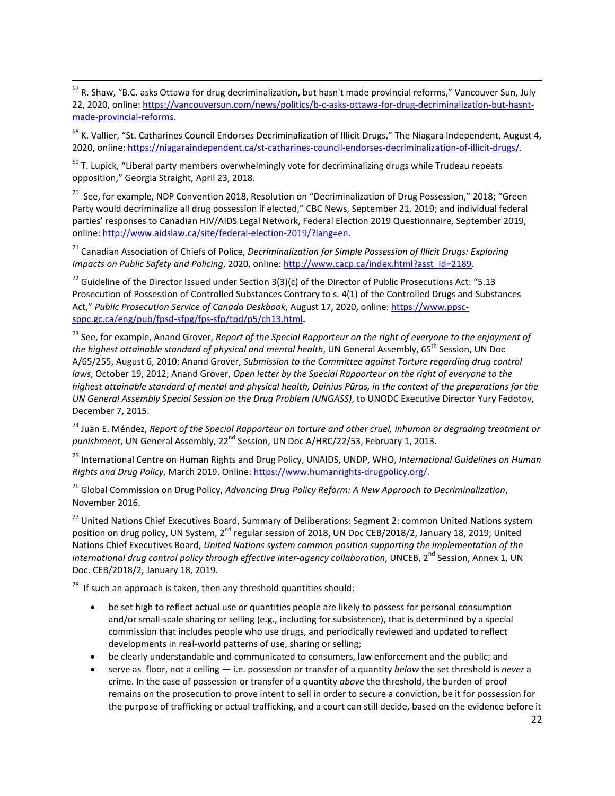$^{67}$  R. Shaw, "B.C. asks Ottawa for drug decriminalization, but hasn't made provincial reforms," Vancouver Sun, July 22, 2020, online: [https://vancouversun.com/news/politics/b-c-asks-ottawa-for-drug-decriminalization-but-hasnt](https://vancouversun.com/news/politics/b-c-asks-ottawa-for-drug-decriminalization-but-hasnt-made-provincial-reforms)[made-provincial-reforms.](https://vancouversun.com/news/politics/b-c-asks-ottawa-for-drug-decriminalization-but-hasnt-made-provincial-reforms)  $\overline{a}$ 

<span id="page-21-0"></span><sup>68</sup> K. Vallier, "St. Catharines Council Endorses Decriminalization of Illicit Drugs," The Niagara Independent, August 4, 2020, online: [https://niagaraindependent.ca/st-catharines-council-endorses-decriminalization-of-illicit-drugs/.](https://niagaraindependent.ca/st-catharines-council-endorses-decriminalization-of-illicit-drugs/) 

<span id="page-21-1"></span> $69$  T. Lupick, "Liberal party members overwhelmingly vote for decriminalizing drugs while Trudeau repeats opposition," Georgia Straight, April 23, 2018.

<span id="page-21-2"></span> $70$  See, for example, NDP Convention 2018, Resolution on "Decriminalization of Drug Possession," 2018; "Green Party would decriminalize all drug possession if elected," CBC News, September 21, 2019; and individual federal parties' responses to Canadian HIV/AIDS Legal Network, Federal Election 2019 Questionnaire, September 2019, online: [http://www.aidslaw.ca/site/federal-election-2019/?lang=en.](http://www.aidslaw.ca/site/federal-election-2019/?lang=en)

<span id="page-21-3"></span><sup>71</sup> Canadian Association of Chiefs of Police, *Decriminalization for Simple Possession of Illicit Drugs: Exploring Impacts on Public Safety and Policing*, 2020, online[: http://www.cacp.ca/index.html?asst\\_id=2189.](http://www.cacp.ca/index.html?asst_id=2189)

<span id="page-21-5"></span><span id="page-21-4"></span><sup>72</sup> Guideline of the Director Issued under Section 3(3)(c) of the Director of Public Prosecutions Act: "5.13 Prosecution of Possession of Controlled Substances Contrary to s. 4(1) of the Controlled Drugs and Substances Act," *Public Prosecution Service of Canada Deskbook*, August 17, 2020, online: [https://www.ppsc](https://www.ppsc-sppc.gc.ca/eng/pub/fpsd-sfpg/fps-sfp/tpd/p5/ch13.html)[sppc.gc.ca/eng/pub/fpsd-sfpg/fps-sfp/tpd/p5/ch13.html](https://www.ppsc-sppc.gc.ca/eng/pub/fpsd-sfpg/fps-sfp/tpd/p5/ch13.html)**.**

<span id="page-21-6"></span><sup>73</sup> See, for example, Anand Grover, *Report of the Special Rapporteur on the right of everyone to the enjoyment of the highest attainable standard of physical and mental health*, UN General Assembly, 65th Session, UN Doc A/65/255, August 6, 2010; Anand Grover, *Submission to the Committee against Torture regarding drug control laws*, October 19, 2012; Anand Grover, *Open letter by the Special Rapporteur on the right of everyone to the highest attainable standard of mental and physical health, Dainius Pūras, in the context of the preparations for the UN General Assembly Special Session on the Drug Problem (UNGASS)*, to UNODC Executive Director Yury Fedotov, December 7, 2015.

<span id="page-21-7"></span><sup>74</sup> Juan E. Méndez, *Report of the Special Rapporteur on torture and other cruel, inhuman or degrading treatment or*  punishment, UN General Assembly, 22<sup>nd</sup> Session, UN Doc A/HRC/22/53, February 1, 2013.

<span id="page-21-8"></span><sup>75</sup> International Centre on Human Rights and Drug Policy, UNAIDS, UNDP, WHO, *International Guidelines on Human Rights and Drug Policy*, March 2019. Online: [https://www.humanrights-drugpolicy.org/.](https://www.humanrights-drugpolicy.org/) 

<span id="page-21-9"></span><sup>76</sup> Global Commission on Drug Policy, *Advancing Drug Policy Reform: A New Approach to Decriminalization*, November 2016.

<span id="page-21-11"></span><span id="page-21-10"></span><sup>77</sup> United Nations Chief Executives Board, Summary of Deliberations: Segment 2: common United Nations system position on drug policy, UN System, 2<sup>nd</sup> regular session of 2018, UN Doc CEB/2018/2, January 18, 2019; United Nations Chief Executives Board, *United Nations system common position supporting the implementation of the international drug control policy through effective inter-agency collaboration*, UNCEB, 2<sup>nd</sup> Session, Annex 1, UN Doc. CEB/2018/2, January 18, 2019.

<span id="page-21-12"></span> $78$  If such an approach is taken, then any threshold quantities should:

- be set high to reflect actual use or quantities people are likely to possess for personal consumption and/or small-scale sharing or selling (e.g., including for subsistence), that is determined by a special commission that includes people who use drugs, and periodically reviewed and updated to reflect developments in real-world patterns of use, sharing or selling;
- be clearly understandable and communicated to consumers, law enforcement and the public; and
- serve as floor, not a ceiling i.e. possession or transfer of a quantity *below* the set threshold is *never* a crime. In the case of possession or transfer of a quantity *above* the threshold, the burden of proof remains on the prosecution to prove intent to sell in order to secure a conviction, be it for possession for the purpose of trafficking or actual trafficking, and a court can still decide, based on the evidence before it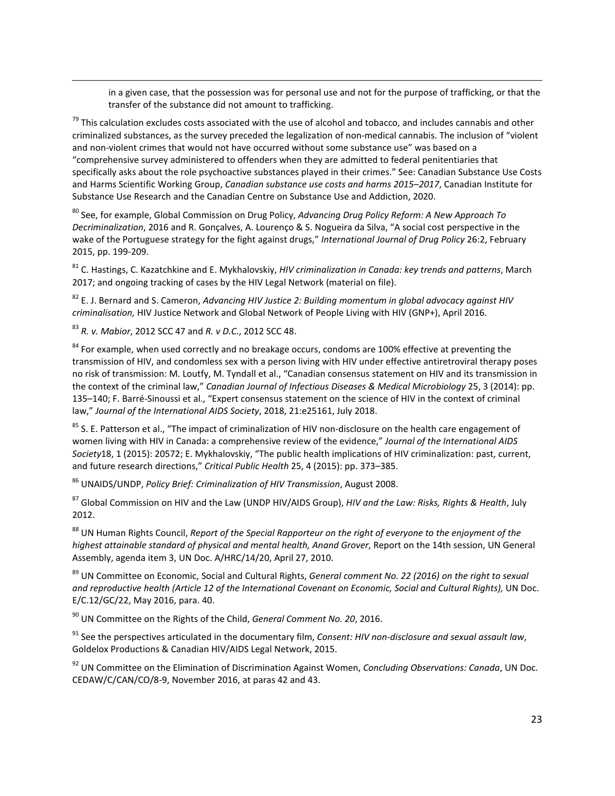in a given case, that the possession was for personal use and not for the purpose of trafficking, or that the transfer of the substance did not amount to trafficking.

 $^{79}$  This calculation excludes costs associated with the use of alcohol and tobacco, and includes cannabis and other criminalized substances, as the survey preceded the legalization of non-medical cannabis. The inclusion of "violent and non-violent crimes that would not have occurred without some substance use" was based on a "comprehensive survey administered to offenders when they are admitted to federal penitentiaries that specifically asks about the role psychoactive substances played in their crimes." See: Canadian Substance Use Costs and Harms Scientific Working Group, *Canadian substance use costs and harms 2015–2017*, Canadian Institute for Substance Use Research and the Canadian Centre on Substance Use and Addiction, 2020.

<sup>80</sup> See, for example, Global Commission on Drug Policy, *Advancing Drug Policy Reform: A New Approach To Decriminalization*, 2016 and R. Gonçalves, A. Lourenço & S. Nogueira da Silva, "A social cost perspective in the wake of the Portuguese strategy for the fight against drugs," *International Journal of Drug Policy* 26:2, February 2015, pp. 199-209.

<sup>81</sup> C. Hastings, C. Kazatchkine and E. Mykhalovskiy, *HIV criminalization in Canada: key trends and patterns*, March 2017; and ongoing tracking of cases by the HIV Legal Network (material on file).

<sup>82</sup> E. J. Bernard and S. Cameron, *Advancing HIV Justice 2: Building momentum in global advocacy against HIV criminalisation,* HIV Justice Network and Global Network of People Living with HIV (GNP+), April 2016.

<sup>83</sup> *R. v. Mabior*, 2012 SCC 47 and *R. v D.C*., 2012 SCC 48.

 $\overline{a}$ 

<sup>84</sup> For example, when used correctly and no breakage occurs, condoms are 100% effective at preventing the transmission of HIV, and condomless sex with a person living with HIV under effective antiretroviral therapy poses no risk of transmission: M. Loutfy, M. Tyndall et al., "Canadian consensus statement on HIV and its transmission in the context of the criminal law," *Canadian Journal of Infectious Diseases & Medical Microbiology* 25, 3 (2014): pp. 135–140; F. Barré-Sinoussi et al., "Expert consensus statement on the science of HIV in the context of criminal law," *Journal of the International AIDS Society*, 2018, 21:e25161, July 2018.

<sup>85</sup> S. E. Patterson et al., "The impact of criminalization of HIV non-disclosure on the health care engagement of women living with HIV in Canada: a comprehensive review of the evidence," *Journal of the International AIDS Society*18, 1 (2015): 20572; E. Mykhalovskiy, "The public health implications of HIV criminalization: past, current, and future research directions," *Critical Public Health* 25, 4 (2015): pp. 373–385.

<sup>86</sup> UNAIDS/UNDP, *Policy Brief: Criminalization of HIV Transmission*, August 2008.

<sup>87</sup> Global Commission on HIV and the Law (UNDP HIV/AIDS Group), *HIV and the Law: Risks, Rights & Health*, July 2012.

88 UN Human Rights Council, *Report of the Special Rapporteur on the right of everyone to the enjoyment of the highest attainable standard of physical and mental health, Anand Grover*, Report on the 14th session, UN General Assembly, agenda item 3, UN Doc. A/HRC/14/20, April 27, 2010.

<sup>89</sup> UN Committee on Economic, Social and Cultural Rights, *General comment No. 22 (2016) on the right to sexual and reproductive health (Article 12 of the International Covenant on Economic, Social and Cultural Rights),* UN Doc. E/C.12/GC/22, May 2016, para. 40.

<sup>90</sup> UN Committee on the Rights of the Child, *General Comment No. 20*, 2016.

<span id="page-22-0"></span><sup>91</sup> See the perspectives articulated in the documentary film, *Consent: HIV non-disclosure and sexual assault law*, Goldelox Productions & Canadian HIV/AIDS Legal Network, 2015.

<sup>92</sup> UN Committee on the Elimination of Discrimination Against Women, *Concluding Observations: Canada*, UN Doc. CEDAW/C/CAN/CO/8-9, November 2016, at paras 42 and 43.